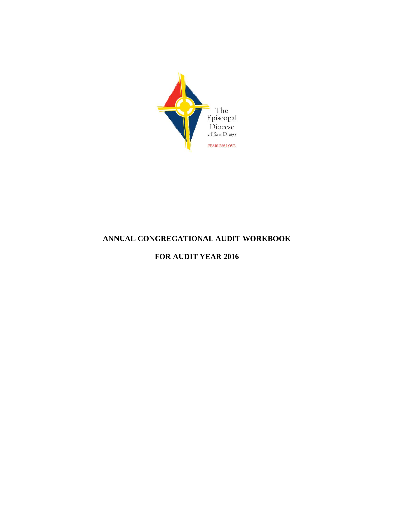

### **ANNUAL CONGREGATIONAL AUDIT WORKBOOK**

### **FOR AUDIT YEAR 2016**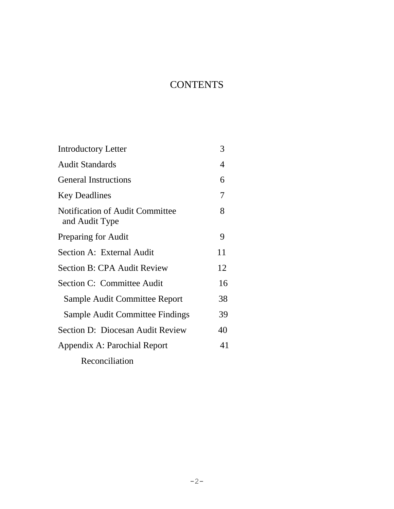# **CONTENTS**

| <b>Introductory Letter</b>                               | 3  |
|----------------------------------------------------------|----|
| <b>Audit Standards</b>                                   | 4  |
| <b>General Instructions</b>                              | 6  |
| <b>Key Deadlines</b>                                     | 7  |
| <b>Notification of Audit Committee</b><br>and Audit Type | 8  |
| Preparing for Audit                                      | 9  |
| Section A: External Audit                                | 11 |
| <b>Section B: CPA Audit Review</b>                       | 12 |
| Section C: Committee Audit                               | 16 |
| Sample Audit Committee Report                            | 38 |
| Sample Audit Committee Findings                          | 39 |
| Section D: Diocesan Audit Review                         | 40 |
| Appendix A: Parochial Report                             | 41 |
| Reconciliation                                           |    |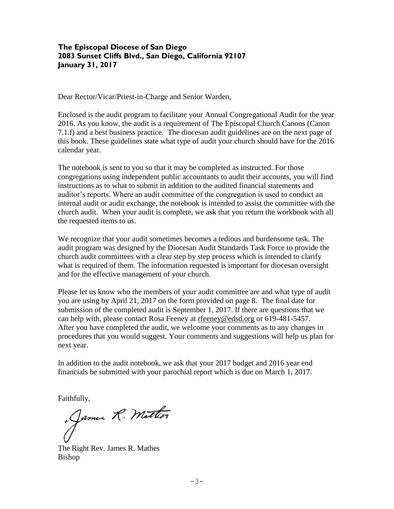#### **The Episcopal Diocese of San Diego 2083 Sunset Cliffs Blvd., San Diego, California 92107 January 31, 2017**

Dear Rector/Vicar/Priest-in-Charge and Senior Warden,

Enclosed is the audit program to facilitate your Annual Congregational Audit for the year 2016. As you know, the audit is a requirement of The Episcopal Church Canons (Canon 7.1.f) and a best business practice. The diocesan audit guidelines are on the next page of this book. These guidelines state what type of audit your church should have for the 2016 calendar year.

The notebook is sent to you so that it may be completed as instructed. For those congregations using independent public accountants to audit their accounts, you will find instructions as to what to submit in addition to the audited financial statements and auditor's reports. Where an audit committee of the congregation is used to conduct an internal audit or audit exchange, the notebook is intended to assist the committee with the church audit. When your audit is complete, we ask that you return the workbook with all the requested items to us.

We recognize that your audit sometimes becomes a tedious and burdensome task. The audit program was designed by the Diocesan Audit Standards Task Force to provide the church audit committees with a clear step by step process which is intended to clarify what is required of them. The information requested is important for diocesan oversight and for the effective management of your church.

Please let us know who the members of your audit committee are and what type of audit you are using by April 21, 2017 on the form provided on page 8. The final date for submission of the completed audit is September 1, 2017. If there are questions that we can help with, please contact Rosa Feeney at [rfeeney@edsd.org](mailto:rfeeney@edsd.org) or 619-481-5457. After you have completed the audit, we welcome your comments as to any changes in procedures that you would suggest. Your comments and suggestions will help us plan for next year.

In addition to the audit notebook, we ask that your 2017 budget and 2016 year end financials be submitted with your parochial report which is due on March 1, 2017.

Faithfully,<br>James R. Mather

The Right Rev. James R. Mathes Bishop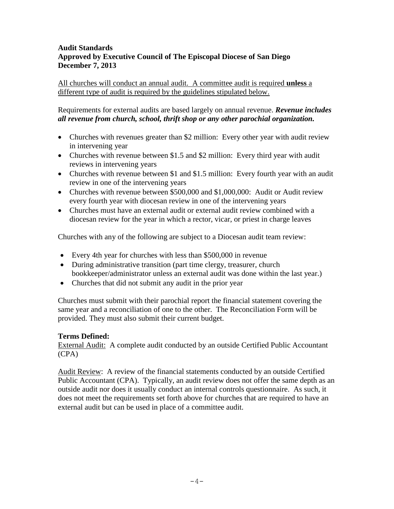#### **Audit Standards Approved by Executive Council of The Episcopal Diocese of San Diego December 7, 2013**

All churches will conduct an annual audit. A committee audit is required **unless** a different type of audit is required by the guidelines stipulated below.

Requirements for external audits are based largely on annual revenue. *Revenue includes all revenue from church, school, thrift shop or any other parochial organization.*

- Churches with revenues greater than \$2 million: Every other year with audit review in intervening year
- Churches with revenue between \$1.5 and \$2 million: Every third year with audit reviews in intervening years
- Churches with revenue between \$1 and \$1.5 million: Every fourth year with an audit review in one of the intervening years
- Churches with revenue between \$500,000 and \$1,000,000: Audit or Audit review every fourth year with diocesan review in one of the intervening years
- Churches must have an external audit or external audit review combined with a diocesan review for the year in which a rector, vicar, or priest in charge leaves

Churches with any of the following are subject to a Diocesan audit team review:

- Every 4th year for churches with less than \$500,000 in revenue
- During administrative transition (part time clergy, treasurer, church bookkeeper/administrator unless an external audit was done within the last year.)
- Churches that did not submit any audit in the prior year

Churches must submit with their parochial report the financial statement covering the same year and a reconciliation of one to the other. The Reconciliation Form will be provided. They must also submit their current budget.

#### **Terms Defined:**

External Audit: A complete audit conducted by an outside Certified Public Accountant (CPA)

Audit Review: A review of the financial statements conducted by an outside Certified Public Accountant (CPA). Typically, an audit review does not offer the same depth as an outside audit nor does it usually conduct an internal controls questionnaire. As such, it does not meet the requirements set forth above for churches that are required to have an external audit but can be used in place of a committee audit.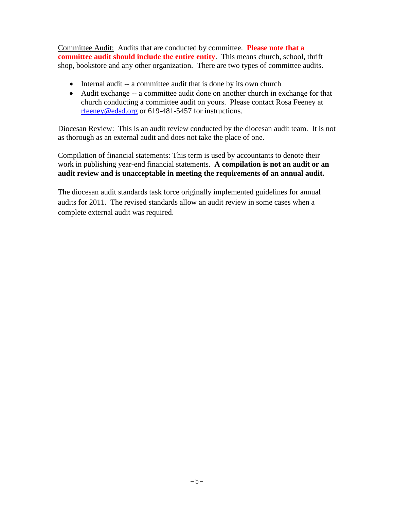Committee Audit: Audits that are conducted by committee. **Please note that a committee audit should include the entire entity**. This means church, school, thrift shop, bookstore and any other organization. There are two types of committee audits.

- Internal audit -- a committee audit that is done by its own church
- Audit exchange -- a committee audit done on another church in exchange for that church conducting a committee audit on yours. Please contact Rosa Feeney at [rfeeney@edsd.org](mailto:rfeeney@edsd.org) or 619-481-5457 for instructions.

Diocesan Review: This is an audit review conducted by the diocesan audit team. It is not as thorough as an external audit and does not take the place of one.

Compilation of financial statements: This term is used by accountants to denote their work in publishing year-end financial statements. **A compilation is not an audit or an audit review and is unacceptable in meeting the requirements of an annual audit.** 

The diocesan audit standards task force originally implemented guidelines for annual audits for 2011. The revised standards allow an audit review in some cases when a complete external audit was required.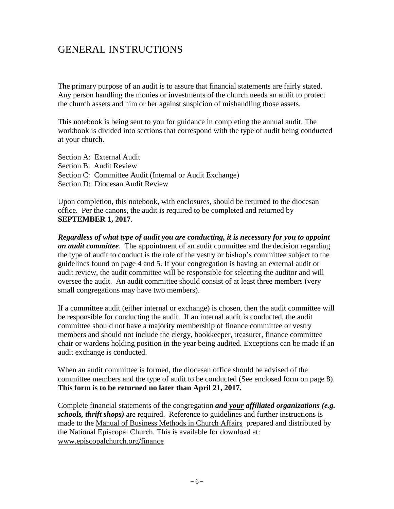## GENERAL INSTRUCTIONS

The primary purpose of an audit is to assure that financial statements are fairly stated. Any person handling the monies or investments of the church needs an audit to protect the church assets and him or her against suspicion of mishandling those assets.

This notebook is being sent to you for guidance in completing the annual audit. The workbook is divided into sections that correspond with the type of audit being conducted at your church.

Section A: External Audit Section B. Audit Review Section C: Committee Audit (Internal or Audit Exchange) Section D: Diocesan Audit Review

Upon completion, this notebook, with enclosures, should be returned to the diocesan office. Per the canons, the audit is required to be completed and returned by **SEPTEMBER 1, 2017**.

*Regardless of what type of audit you are conducting, it is necessary for you to appoint an audit committee*. The appointment of an audit committee and the decision regarding the type of audit to conduct is the role of the vestry or bishop's committee subject to the guidelines found on page 4 and 5. If your congregation is having an external audit or audit review, the audit committee will be responsible for selecting the auditor and will oversee the audit. An audit committee should consist of at least three members (very small congregations may have two members).

If a committee audit (either internal or exchange) is chosen, then the audit committee will be responsible for conducting the audit. If an internal audit is conducted, the audit committee should not have a majority membership of finance committee or vestry members and should not include the clergy, bookkeeper, treasurer, finance committee chair or wardens holding position in the year being audited. Exceptions can be made if an audit exchange is conducted.

When an audit committee is formed, the diocesan office should be advised of the committee members and the type of audit to be conducted (See enclosed form on page 8). **This form is to be returned no later than April 21, 2017.** 

Complete financial statements of the congregation *and your affiliated organizations (e.g. schools, thrift shops)* are required. Reference to guidelines and further instructions is made to the Manual of Business Methods in Church Affairs prepared and distributed by the National Episcopal Church. This is available for download at: [www.episcopalchurch.org/finance](http://www.episcopalchurch.org/finance)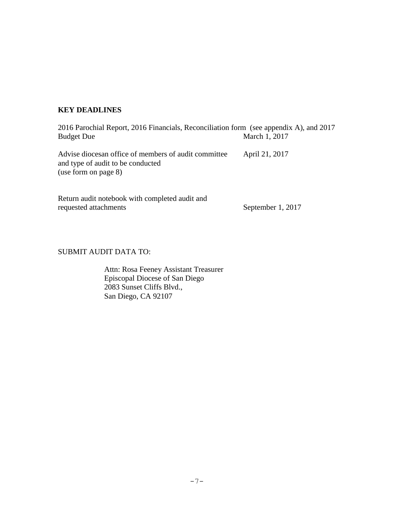#### **KEY DEADLINES**

| 2016 Parochial Report, 2016 Financials, Reconciliation form (see appendix A), and 2017                               |                |
|----------------------------------------------------------------------------------------------------------------------|----------------|
| <b>Budget Due</b>                                                                                                    | March 1, 2017  |
| Advise diocesan office of members of audit committee<br>and type of audit to be conducted<br>(use form on page $8$ ) | April 21, 2017 |

Return audit notebook with completed audit and requested attachments September 1, 2017

#### SUBMIT AUDIT DATA TO:

Attn: Rosa Feeney Assistant Treasurer Episcopal Diocese of San Diego 2083 Sunset Cliffs Blvd., San Diego, CA 92107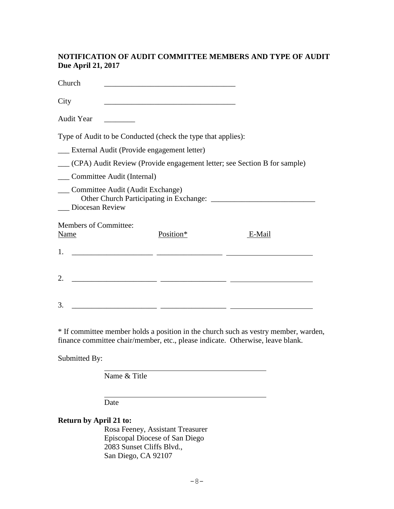#### **NOTIFICATION OF AUDIT COMMITTEE MEMBERS AND TYPE OF AUDIT Due April 21, 2017**

| Church            |                                                     |                                                                                           |                                                                          |  |  |
|-------------------|-----------------------------------------------------|-------------------------------------------------------------------------------------------|--------------------------------------------------------------------------|--|--|
| City              |                                                     | the control of the control of the control of the control of the control of the control of |                                                                          |  |  |
| <b>Audit Year</b> |                                                     |                                                                                           |                                                                          |  |  |
|                   |                                                     | Type of Audit to be Conducted (check the type that applies):                              |                                                                          |  |  |
|                   |                                                     | External Audit (Provide engagement letter)                                                |                                                                          |  |  |
|                   |                                                     |                                                                                           | (CPA) Audit Review (Provide engagement letter; see Section B for sample) |  |  |
|                   | Committee Audit (Internal)                          |                                                                                           |                                                                          |  |  |
|                   | Committee Audit (Audit Exchange)<br>Diocesan Review |                                                                                           |                                                                          |  |  |
|                   | <b>Members of Committee:</b>                        |                                                                                           |                                                                          |  |  |
| Name              |                                                     | Position*                                                                                 | E-Mail                                                                   |  |  |
| 1.                |                                                     |                                                                                           |                                                                          |  |  |
|                   |                                                     |                                                                                           |                                                                          |  |  |
| 2.                |                                                     |                                                                                           |                                                                          |  |  |
| 3.                |                                                     |                                                                                           |                                                                          |  |  |

\* If committee member holds a position in the church such as vestry member, warden, finance committee chair/member, etc., please indicate. Otherwise, leave blank.

Submitted By:

Name & Title

Date

### **Return by April 21 to:**

Rosa Feeney, Assistant Treasurer Episcopal Diocese of San Diego 2083 Sunset Cliffs Blvd., San Diego, CA 92107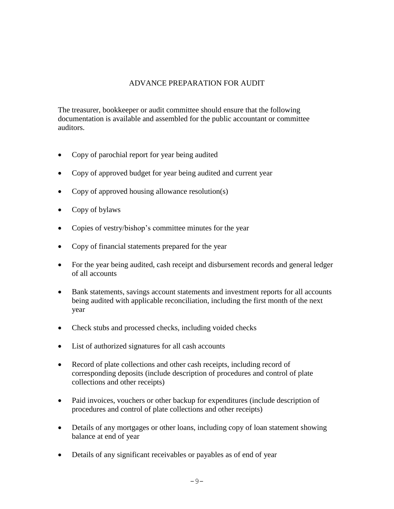#### ADVANCE PREPARATION FOR AUDIT

The treasurer, bookkeeper or audit committee should ensure that the following documentation is available and assembled for the public accountant or committee auditors.

- Copy of parochial report for year being audited
- Copy of approved budget for year being audited and current year
- Copy of approved housing allowance resolution(s)
- Copy of bylaws
- Copies of vestry/bishop's committee minutes for the year
- Copy of financial statements prepared for the year
- For the year being audited, cash receipt and disbursement records and general ledger of all accounts
- Bank statements, savings account statements and investment reports for all accounts being audited with applicable reconciliation, including the first month of the next year
- Check stubs and processed checks, including voided checks
- List of authorized signatures for all cash accounts
- Record of plate collections and other cash receipts, including record of corresponding deposits (include description of procedures and control of plate collections and other receipts)
- Paid invoices, vouchers or other backup for expenditures (include description of procedures and control of plate collections and other receipts)
- Details of any mortgages or other loans, including copy of loan statement showing balance at end of year
- Details of any significant receivables or payables as of end of year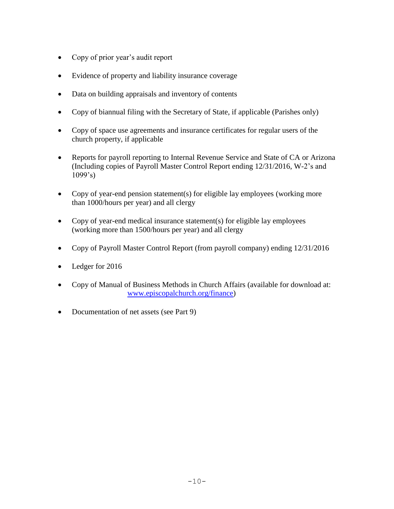- Copy of prior year's audit report
- Evidence of property and liability insurance coverage
- Data on building appraisals and inventory of contents
- Copy of biannual filing with the Secretary of State, if applicable (Parishes only)
- Copy of space use agreements and insurance certificates for regular users of the church property, if applicable
- Reports for payroll reporting to Internal Revenue Service and State of CA or Arizona (Including copies of Payroll Master Control Report ending 12/31/2016, W-2's and  $1099's$
- Copy of year-end pension statement(s) for eligible lay employees (working more than 1000/hours per year) and all clergy
- Copy of year-end medical insurance statement(s) for eligible lay employees (working more than 1500/hours per year) and all clergy
- Copy of Payroll Master Control Report (from payroll company) ending 12/31/2016
- Ledger for 2016
- Copy of Manual of Business Methods in Church Affairs (available for download at: [www.episcopalchurch.org/finance\)](http://www.episcopalchurch.org/finance)
- Documentation of net assets (see Part 9)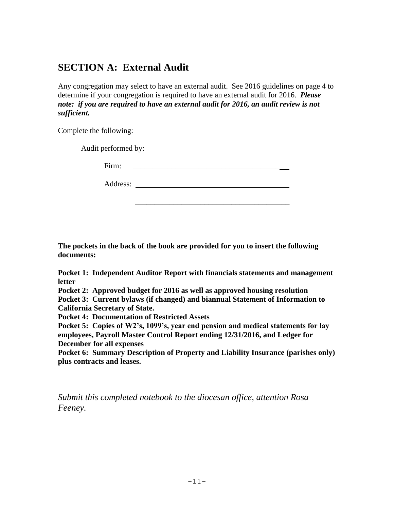## **SECTION A: External Audit**

Any congregation may select to have an external audit. See 2016 guidelines on page 4 to determine if your congregation is required to have an external audit for 2016. *Please note: if you are required to have an external audit for 2016, an audit review is not sufficient.*

Complete the following:

Audit performed by:

Firm:

Address:

 $\frac{1}{2}$  , and the set of the set of the set of the set of the set of the set of the set of the set of the set of the set of the set of the set of the set of the set of the set of the set of the set of the set of the set

**The pockets in the back of the book are provided for you to insert the following documents:**

**Pocket 1: Independent Auditor Report with financials statements and management letter**

**Pocket 2: Approved budget for 2016 as well as approved housing resolution**

**Pocket 3: Current bylaws (if changed) and biannual Statement of Information to California Secretary of State.** 

**Pocket 4: Documentation of Restricted Assets**

**Pocket 5: Copies of W2's, 1099's, year end pension and medical statements for lay employees, Payroll Master Control Report ending 12/31/2016, and Ledger for December for all expenses**

**Pocket 6: Summary Description of Property and Liability Insurance (parishes only) plus contracts and leases.**

*Submit this completed notebook to the diocesan office, attention Rosa Feeney.*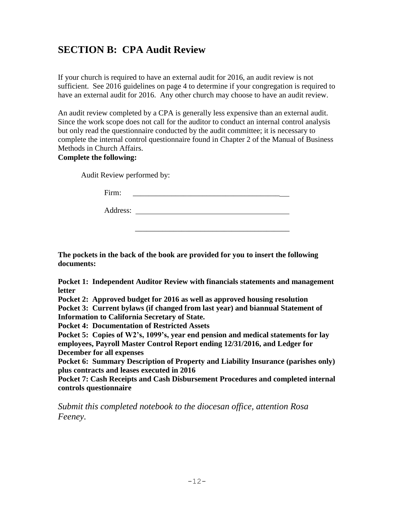## **SECTION B: CPA Audit Review**

If your church is required to have an external audit for 2016, an audit review is not sufficient. See 2016 guidelines on page 4 to determine if your congregation is required to have an external audit for 2016. Any other church may choose to have an audit review.

An audit review completed by a CPA is generally less expensive than an external audit. Since the work scope does not call for the auditor to conduct an internal control analysis but only read the questionnaire conducted by the audit committee; it is necessary to complete the internal control questionnaire found in Chapter 2 of the Manual of Business Methods in Church Affairs.

#### **Complete the following:**

Audit Review performed by:

Firm: \_\_\_\_\_\_\_\_\_\_\_\_\_\_\_\_\_\_\_\_\_\_\_\_\_\_\_\_\_\_\_\_\_\_\_\_\_\_

Address:

 $\frac{1}{2}$  , and the set of the set of the set of the set of the set of the set of the set of the set of the set of the set of the set of the set of the set of the set of the set of the set of the set of the set of the set

**The pockets in the back of the book are provided for you to insert the following documents:**

**Pocket 1: Independent Auditor Review with financials statements and management letter**

**Pocket 2: Approved budget for 2016 as well as approved housing resolution**

**Pocket 3: Current bylaws (if changed from last year) and biannual Statement of Information to California Secretary of State.** 

**Pocket 4: Documentation of Restricted Assets**

**Pocket 5: Copies of W2's, 1099's, year end pension and medical statements for lay employees, Payroll Master Control Report ending 12/31/2016, and Ledger for December for all expenses**

**Pocket 6: Summary Description of Property and Liability Insurance (parishes only) plus contracts and leases executed in 2016**

**Pocket 7: Cash Receipts and Cash Disbursement Procedures and completed internal controls questionnaire** 

*Submit this completed notebook to the diocesan office, attention Rosa Feeney.*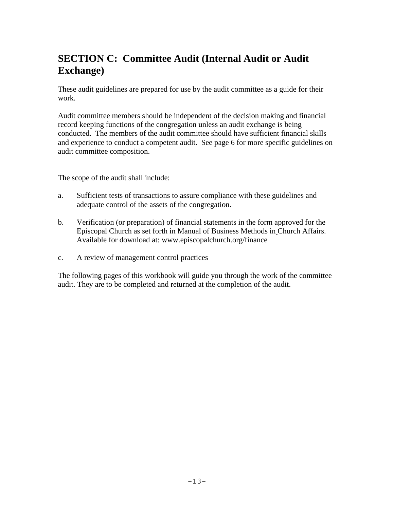## **SECTION C: Committee Audit (Internal Audit or Audit Exchange)**

These audit guidelines are prepared for use by the audit committee as a guide for their work.

Audit committee members should be independent of the decision making and financial record keeping functions of the congregation unless an audit exchange is being conducted. The members of the audit committee should have sufficient financial skills and experience to conduct a competent audit. See page 6 for more specific guidelines on audit committee composition.

The scope of the audit shall include:

- a. Sufficient tests of transactions to assure compliance with these guidelines and adequate control of the assets of the congregation.
- b. Verification (or preparation) of financial statements in the form approved for the Episcopal Church as set forth in Manual of Business Methods in Church Affairs. Available for download at: www.episcopalchurch.org/finance
- c. A review of management control practices

The following pages of this workbook will guide you through the work of the committee audit. They are to be completed and returned at the completion of the audit.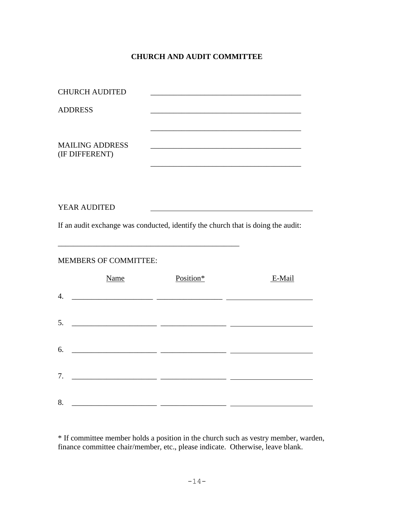### **CHURCH AND AUDIT COMMITTEE**

| <b>CHURCH AUDITED</b>                                                            |                                                                                                                     |        |
|----------------------------------------------------------------------------------|---------------------------------------------------------------------------------------------------------------------|--------|
| <b>ADDRESS</b>                                                                   |                                                                                                                     |        |
|                                                                                  |                                                                                                                     |        |
| <b>MAILING ADDRESS</b><br>(IF DIFFERENT)                                         |                                                                                                                     |        |
|                                                                                  |                                                                                                                     |        |
|                                                                                  |                                                                                                                     |        |
| YEAR AUDITED                                                                     |                                                                                                                     |        |
| If an audit exchange was conducted, identify the church that is doing the audit: |                                                                                                                     |        |
| <b>MEMBERS OF COMMITTEE:</b>                                                     |                                                                                                                     |        |
| Name                                                                             | Position*                                                                                                           | E-Mail |
| $\overline{4}$ .                                                                 |                                                                                                                     |        |
| 5.                                                                               |                                                                                                                     |        |
| 6.                                                                               |                                                                                                                     |        |
| 7.                                                                               |                                                                                                                     |        |
|                                                                                  | <u> 2000 - Jan Sarajević, politika i postala i postala i postala i postala i postala i postala i postala i post</u> |        |
| 8.                                                                               |                                                                                                                     |        |

\* If committee member holds a position in the church such as vestry member, warden, finance committee chair/member, etc., please indicate. Otherwise, leave blank.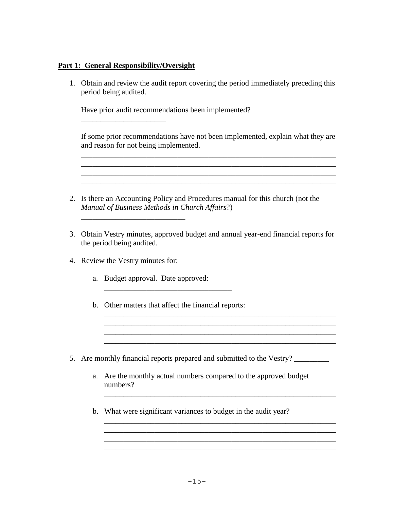#### **Part 1: General Responsibility/Oversight**

\_\_\_\_\_\_\_\_\_\_\_\_\_\_\_\_\_\_\_\_\_\_

1. Obtain and review the audit report covering the period immediately preceding this period being audited.

Have prior audit recommendations been implemented?

If some prior recommendations have not been implemented, explain what they are and reason for not being implemented.

\_\_\_\_\_\_\_\_\_\_\_\_\_\_\_\_\_\_\_\_\_\_\_\_\_\_\_\_\_\_\_\_\_\_\_\_\_\_\_\_\_\_\_\_\_\_\_\_\_\_\_\_\_\_\_\_\_\_\_\_\_\_\_\_\_\_

\_\_\_\_\_\_\_\_\_\_\_\_\_\_\_\_\_\_\_\_\_\_\_\_\_\_\_\_\_\_\_\_\_\_\_\_\_\_\_\_\_\_\_\_\_\_\_\_\_\_\_\_\_\_\_\_\_\_\_\_\_\_\_\_\_\_

\_\_\_\_\_\_\_\_\_\_\_\_\_\_\_\_\_\_\_\_\_\_\_\_\_\_\_\_\_\_\_\_\_\_\_\_\_\_\_\_\_\_\_\_\_\_\_\_\_\_\_\_\_\_\_\_\_\_\_\_

- 2. Is there an Accounting Policy and Procedures manual for this church (not the *Manual of Business Methods in Church Affairs*?)
- 3. Obtain Vestry minutes, approved budget and annual year-end financial reports for the period being audited.
- 4. Review the Vestry minutes for:

\_\_\_\_\_\_\_\_\_\_\_\_\_\_\_\_\_\_\_\_\_\_\_\_\_\_\_

- a. Budget approval. Date approved:
- b. Other matters that affect the financial reports:
- 5. Are monthly financial reports prepared and submitted to the Vestry?
	- a. Are the monthly actual numbers compared to the approved budget numbers?

\_\_\_\_\_\_\_\_\_\_\_\_\_\_\_\_\_\_\_\_\_\_\_\_\_\_\_\_\_\_\_\_\_\_\_\_\_\_\_\_\_\_\_\_\_\_\_\_\_\_\_\_\_\_\_\_\_\_\_\_  $\mathcal{L}_\text{max} = \mathcal{L}_\text{max} = \mathcal{L}_\text{max} = \mathcal{L}_\text{max} = \mathcal{L}_\text{max} = \mathcal{L}_\text{max} = \mathcal{L}_\text{max} = \mathcal{L}_\text{max} = \mathcal{L}_\text{max} = \mathcal{L}_\text{max} = \mathcal{L}_\text{max} = \mathcal{L}_\text{max} = \mathcal{L}_\text{max} = \mathcal{L}_\text{max} = \mathcal{L}_\text{max} = \mathcal{L}_\text{max} = \mathcal{L}_\text{max} = \mathcal{L}_\text{max} = \mathcal{$ \_\_\_\_\_\_\_\_\_\_\_\_\_\_\_\_\_\_\_\_\_\_\_\_\_\_\_\_\_\_\_\_\_\_\_\_\_\_\_\_\_\_\_\_\_\_\_\_\_\_\_\_\_\_\_\_\_\_\_\_

\_\_\_\_\_\_\_\_\_\_\_\_\_\_\_\_\_\_\_\_\_\_\_\_\_\_\_\_\_\_\_\_\_\_\_\_\_\_\_\_\_\_\_\_\_\_\_\_\_\_\_\_\_\_\_\_\_\_\_\_

\_\_\_\_\_\_\_\_\_\_\_\_\_\_\_\_\_\_\_\_\_\_\_\_\_\_\_\_\_\_\_\_\_\_\_\_\_\_\_\_\_\_\_\_\_\_\_\_\_\_\_\_\_\_\_\_\_\_\_\_ \_\_\_\_\_\_\_\_\_\_\_\_\_\_\_\_\_\_\_\_\_\_\_\_\_\_\_\_\_\_\_\_\_\_\_\_\_\_\_\_\_\_\_\_\_\_\_\_\_\_\_\_\_\_\_\_\_\_\_\_ \_\_\_\_\_\_\_\_\_\_\_\_\_\_\_\_\_\_\_\_\_\_\_\_\_\_\_\_\_\_\_\_\_\_\_\_\_\_\_\_\_\_\_\_\_\_\_\_\_\_\_\_\_\_\_\_\_\_\_\_ \_\_\_\_\_\_\_\_\_\_\_\_\_\_\_\_\_\_\_\_\_\_\_\_\_\_\_\_\_\_\_\_\_\_\_\_\_\_\_\_\_\_\_\_\_\_\_\_\_\_\_\_\_\_\_\_\_\_\_\_

b. What were significant variances to budget in the audit year?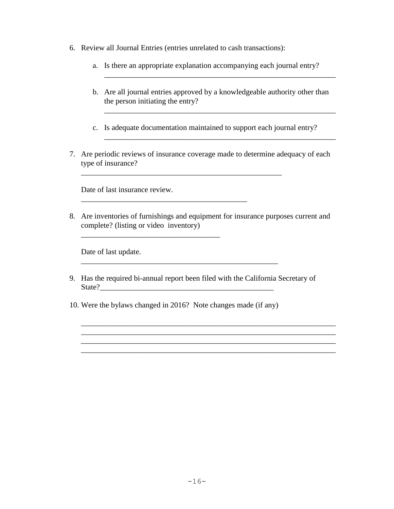- 6. Review all Journal Entries (entries unrelated to cash transactions):
	- a. Is there an appropriate explanation accompanying each journal entry?
	- b. Are all journal entries approved by a knowledgeable authority other than the person initiating the entry?

\_\_\_\_\_\_\_\_\_\_\_\_\_\_\_\_\_\_\_\_\_\_\_\_\_\_\_\_\_\_\_\_\_\_\_\_\_\_\_\_\_\_\_\_\_\_\_\_\_\_\_\_\_\_\_\_\_\_\_\_

\_\_\_\_\_\_\_\_\_\_\_\_\_\_\_\_\_\_\_\_\_\_\_\_\_\_\_\_\_\_\_\_\_\_\_\_\_\_\_\_\_\_\_\_\_\_\_\_\_\_\_\_\_\_\_\_\_\_\_\_

 $\mathcal{L}_\text{max} = \mathcal{L}_\text{max} = \mathcal{L}_\text{max} = \mathcal{L}_\text{max} = \mathcal{L}_\text{max} = \mathcal{L}_\text{max} = \mathcal{L}_\text{max} = \mathcal{L}_\text{max} = \mathcal{L}_\text{max} = \mathcal{L}_\text{max} = \mathcal{L}_\text{max} = \mathcal{L}_\text{max} = \mathcal{L}_\text{max} = \mathcal{L}_\text{max} = \mathcal{L}_\text{max} = \mathcal{L}_\text{max} = \mathcal{L}_\text{max} = \mathcal{L}_\text{max} = \mathcal{$ 

- c. Is adequate documentation maintained to support each journal entry?
- 7. Are periodic reviews of insurance coverage made to determine adequacy of each type of insurance?

\_\_\_\_\_\_\_\_\_\_\_\_\_\_\_\_\_\_\_\_\_\_\_\_\_\_\_\_\_\_\_\_\_\_\_\_\_\_\_\_\_\_\_\_\_\_\_\_\_\_\_\_

Date of last insurance review.

\_\_\_\_\_\_\_\_\_\_\_\_\_\_\_\_\_\_\_\_\_\_\_\_\_\_\_\_\_\_\_\_\_\_\_\_

8. Are inventories of furnishings and equipment for insurance purposes current and complete? (listing or video inventory)

Date of last update.

9. Has the required bi-annual report been filed with the California Secretary of  $State?$ 

\_\_\_\_\_\_\_\_\_\_\_\_\_\_\_\_\_\_\_\_\_\_\_\_\_\_\_\_\_\_\_\_\_\_\_\_\_\_\_\_\_\_\_\_\_\_\_\_\_\_\_\_\_\_\_\_\_\_\_\_\_\_\_\_\_\_  $\mathcal{L}_\mathcal{L} = \mathcal{L}_\mathcal{L} = \mathcal{L}_\mathcal{L} = \mathcal{L}_\mathcal{L} = \mathcal{L}_\mathcal{L} = \mathcal{L}_\mathcal{L} = \mathcal{L}_\mathcal{L} = \mathcal{L}_\mathcal{L} = \mathcal{L}_\mathcal{L} = \mathcal{L}_\mathcal{L} = \mathcal{L}_\mathcal{L} = \mathcal{L}_\mathcal{L} = \mathcal{L}_\mathcal{L} = \mathcal{L}_\mathcal{L} = \mathcal{L}_\mathcal{L} = \mathcal{L}_\mathcal{L} = \mathcal{L}_\mathcal{L}$ 

\_\_\_\_\_\_\_\_\_\_\_\_\_\_\_\_\_\_\_\_\_\_\_\_\_\_\_\_\_\_\_\_\_\_\_\_\_\_\_\_\_\_\_\_\_\_\_\_\_\_\_\_\_\_\_\_\_\_\_\_\_\_\_\_\_\_

10. Were the bylaws changed in 2016? Note changes made (if any)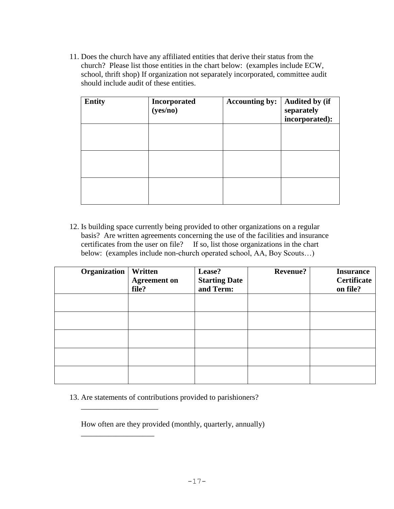11. Does the church have any affiliated entities that derive their status from the church? Please list those entities in the chart below: (examples include ECW, school, thrift shop) If organization not separately incorporated, committee audit should include audit of these entities.

| <b>Entity</b> | Incorporated<br>(yes/no) | <b>Accounting by:</b> | <b>Audited by (if</b><br>separately<br>incorporated): |
|---------------|--------------------------|-----------------------|-------------------------------------------------------|
|               |                          |                       |                                                       |
|               |                          |                       |                                                       |
|               |                          |                       |                                                       |

12. Is building space currently being provided to other organizations on a regular basis? Are written agreements concerning the use of the facilities and insurance certificates from the user on file? If so, list those organizations in the chart below: (examples include non-church operated school, AA, Boy Scouts…)

| Organization | Written<br><b>Agreement on</b><br>file? | Lease?<br><b>Starting Date</b><br>and Term: | <b>Revenue?</b> | <b>Insurance</b><br>Certificate<br>on file? |
|--------------|-----------------------------------------|---------------------------------------------|-----------------|---------------------------------------------|
|              |                                         |                                             |                 |                                             |
|              |                                         |                                             |                 |                                             |
|              |                                         |                                             |                 |                                             |
|              |                                         |                                             |                 |                                             |
|              |                                         |                                             |                 |                                             |

13. Are statements of contributions provided to parishioners?

\_\_\_\_\_\_\_\_\_\_\_\_\_\_\_\_\_\_\_\_

\_\_\_\_\_\_\_\_\_\_\_\_\_\_\_\_\_\_\_

How often are they provided (monthly, quarterly, annually)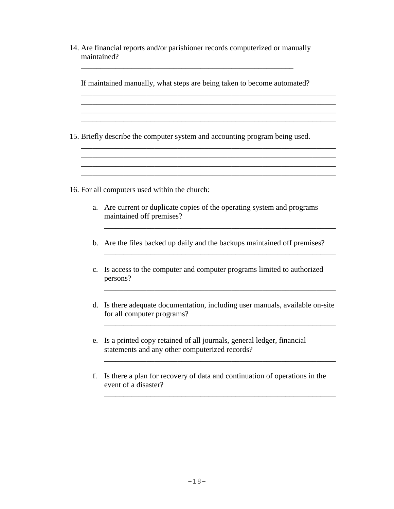| 14. Are financial reports and/or parishioner records computerized or manually |  |
|-------------------------------------------------------------------------------|--|
| maintained?                                                                   |  |
|                                                                               |  |

|                | If maintained manually, what steps are being taken to become automated?                                                 |
|----------------|-------------------------------------------------------------------------------------------------------------------------|
|                |                                                                                                                         |
|                | 15. Briefly describe the computer system and accounting program being used.                                             |
|                |                                                                                                                         |
|                | 16. For all computers used within the church:                                                                           |
| a.             | Are current or duplicate copies of the operating system and programs<br>maintained off premises?                        |
|                | b. Are the files backed up daily and the backups maintained off premises?                                               |
| $\mathbf{c}$ . | Is access to the computer and computer programs limited to authorized<br>persons?                                       |
| d.             | Is there adequate documentation, including user manuals, available on-site<br>for all computer programs?                |
| e.             | Is a printed copy retained of all journals, general ledger, financial<br>statements and any other computerized records? |
| f.             | Is there a plan for recovery of data and continuation of operations in the<br>event of a disaster?                      |

\_\_\_\_\_\_\_\_\_\_\_\_\_\_\_\_\_\_\_\_\_\_\_\_\_\_\_\_\_\_\_\_\_\_\_\_\_\_\_\_\_\_\_\_\_\_\_\_\_\_\_\_\_\_\_\_\_\_\_\_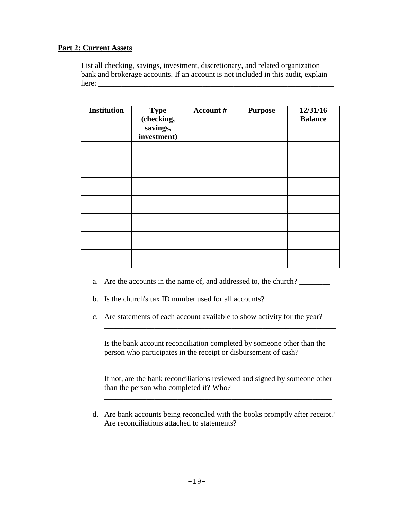#### **Part 2: Current Assets**

List all checking, savings, investment, discretionary, and related organization bank and brokerage accounts. If an account is not included in this audit, explain here:

\_\_\_\_\_\_\_\_\_\_\_\_\_\_\_\_\_\_\_\_\_\_\_\_\_\_\_\_\_\_\_\_\_\_\_\_\_\_\_\_\_\_\_\_\_\_\_\_\_\_\_\_\_\_\_\_\_\_\_\_\_\_\_\_\_\_

| <b>Institution</b> | <b>Type</b><br>(checking,<br>savings, | Account # | <b>Purpose</b> | 12/31/16<br><b>Balance</b> |
|--------------------|---------------------------------------|-----------|----------------|----------------------------|
|                    | investment)                           |           |                |                            |
|                    |                                       |           |                |                            |
|                    |                                       |           |                |                            |
|                    |                                       |           |                |                            |
|                    |                                       |           |                |                            |
|                    |                                       |           |                |                            |
|                    |                                       |           |                |                            |
|                    |                                       |           |                |                            |

a. Are the accounts in the name of, and addressed to, the church?

b. Is the church's tax ID number used for all accounts? \_\_\_\_\_\_\_\_\_\_\_\_\_\_\_\_\_\_\_\_\_\_\_\_

c. Are statements of each account available to show activity for the year?

Is the bank account reconciliation completed by someone other than the person who participates in the receipt or disbursement of cash?

\_\_\_\_\_\_\_\_\_\_\_\_\_\_\_\_\_\_\_\_\_\_\_\_\_\_\_\_\_\_\_\_\_\_\_\_\_\_\_\_\_\_\_\_\_\_\_\_\_\_\_\_\_\_\_\_\_\_\_\_

If not, are the bank reconciliations reviewed and signed by someone other than the person who completed it? Who?

\_\_\_\_\_\_\_\_\_\_\_\_\_\_\_\_\_\_\_\_\_\_\_\_\_\_\_\_\_\_\_\_\_\_\_\_\_\_\_\_\_\_\_\_\_\_\_\_\_\_\_\_\_\_\_\_\_\_\_

\_\_\_\_\_\_\_\_\_\_\_\_\_\_\_\_\_\_\_\_\_\_\_\_\_\_\_\_\_\_\_\_\_\_\_\_\_\_\_\_\_\_\_\_\_\_\_\_\_\_\_\_\_\_\_\_\_\_\_\_

d. Are bank accounts being reconciled with the books promptly after receipt? Are reconciliations attached to statements?

\_\_\_\_\_\_\_\_\_\_\_\_\_\_\_\_\_\_\_\_\_\_\_\_\_\_\_\_\_\_\_\_\_\_\_\_\_\_\_\_\_\_\_\_\_\_\_\_\_\_\_\_\_\_\_\_\_\_\_\_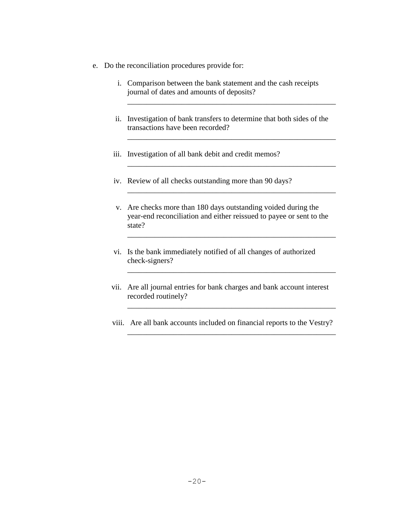- e. Do the reconciliation procedures provide for:
	- i. Comparison between the bank statement and the cash receipts journal of dates and amounts of deposits?
	- ii. Investigation of bank transfers to determine that both sides of the transactions have been recorded?

\_\_\_\_\_\_\_\_\_\_\_\_\_\_\_\_\_\_\_\_\_\_\_\_\_\_\_\_\_\_\_\_\_\_\_\_\_\_\_\_\_\_\_\_\_\_\_\_\_\_\_\_\_\_

\_\_\_\_\_\_\_\_\_\_\_\_\_\_\_\_\_\_\_\_\_\_\_\_\_\_\_\_\_\_\_\_\_\_\_\_\_\_\_\_\_\_\_\_\_\_\_\_\_\_\_\_\_\_

\_\_\_\_\_\_\_\_\_\_\_\_\_\_\_\_\_\_\_\_\_\_\_\_\_\_\_\_\_\_\_\_\_\_\_\_\_\_\_\_\_\_\_\_\_\_\_\_\_\_\_\_\_\_

\_\_\_\_\_\_\_\_\_\_\_\_\_\_\_\_\_\_\_\_\_\_\_\_\_\_\_\_\_\_\_\_\_\_\_\_\_\_\_\_\_\_\_\_\_\_\_\_\_\_\_\_\_\_

\_\_\_\_\_\_\_\_\_\_\_\_\_\_\_\_\_\_\_\_\_\_\_\_\_\_\_\_\_\_\_\_\_\_\_\_\_\_\_\_\_\_\_\_\_\_\_\_\_\_\_\_\_\_

\_\_\_\_\_\_\_\_\_\_\_\_\_\_\_\_\_\_\_\_\_\_\_\_\_\_\_\_\_\_\_\_\_\_\_\_\_\_\_\_\_\_\_\_\_\_\_\_\_\_\_\_\_\_

\_\_\_\_\_\_\_\_\_\_\_\_\_\_\_\_\_\_\_\_\_\_\_\_\_\_\_\_\_\_\_\_\_\_\_\_\_\_\_\_\_\_\_\_\_\_\_\_\_\_\_\_\_\_

\_\_\_\_\_\_\_\_\_\_\_\_\_\_\_\_\_\_\_\_\_\_\_\_\_\_\_\_\_\_\_\_\_\_\_\_\_\_\_\_\_\_\_\_\_\_\_\_\_\_\_\_\_\_

- iii. Investigation of all bank debit and credit memos?
- iv. Review of all checks outstanding more than 90 days?
- v. Are checks more than 180 days outstanding voided during the year-end reconciliation and either reissued to payee or sent to the state?
- vi. Is the bank immediately notified of all changes of authorized check-signers?
- vii. Are all journal entries for bank charges and bank account interest recorded routinely?
- viii. Are all bank accounts included on financial reports to the Vestry?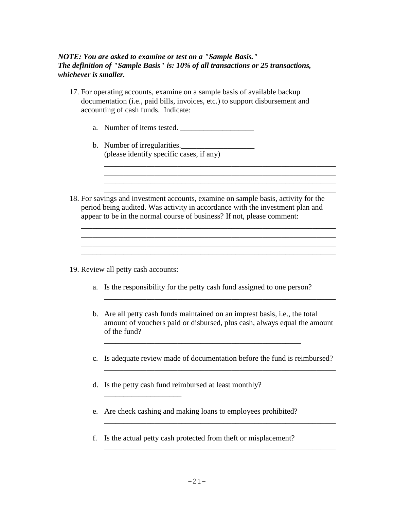#### *NOTE: You are asked to examine or test on a "Sample Basis." The definition of "Sample Basis" is: 10% of all transactions or 25 transactions, whichever is smaller.*

- 17. For operating accounts, examine on a sample basis of available backup documentation (i.e., paid bills, invoices, etc.) to support disbursement and accounting of cash funds. Indicate:
	- a. Number of items tested. \_\_\_\_\_\_\_\_\_\_\_\_\_\_\_\_\_\_\_
	- b. Number of irregularities. (please identify specific cases, if any)
- 18. For savings and investment accounts, examine on sample basis, activity for the period being audited. Was activity in accordance with the investment plan and appear to be in the normal course of business? If not, please comment:

\_\_\_\_\_\_\_\_\_\_\_\_\_\_\_\_\_\_\_\_\_\_\_\_\_\_\_\_\_\_\_\_\_\_\_\_\_\_\_\_\_\_\_\_\_\_\_\_\_\_\_\_\_\_\_\_\_\_\_\_\_\_\_\_\_\_ \_\_\_\_\_\_\_\_\_\_\_\_\_\_\_\_\_\_\_\_\_\_\_\_\_\_\_\_\_\_\_\_\_\_\_\_\_\_\_\_\_\_\_\_\_\_\_\_\_\_\_\_\_\_\_\_\_\_\_\_\_\_\_\_\_\_

\_\_\_\_\_\_\_\_\_\_\_\_\_\_\_\_\_\_\_\_\_\_\_\_\_\_\_\_\_\_\_\_\_\_\_\_\_\_\_\_\_\_\_\_\_\_\_\_\_\_\_\_\_\_\_\_\_\_\_\_\_\_\_\_\_\_

\_\_\_\_\_\_\_\_\_\_\_\_\_\_\_\_\_\_\_\_\_\_\_\_\_\_\_\_\_\_\_\_\_\_\_\_\_\_\_\_\_\_\_\_\_\_\_\_\_\_\_\_\_\_\_\_\_\_\_\_

\_\_\_\_\_\_\_\_\_\_\_\_\_\_\_\_\_\_\_\_\_\_\_\_\_\_\_\_\_\_\_\_\_\_\_\_\_\_\_\_\_\_\_\_\_\_\_\_\_\_\_\_\_\_\_\_\_\_\_\_ \_\_\_\_\_\_\_\_\_\_\_\_\_\_\_\_\_\_\_\_\_\_\_\_\_\_\_\_\_\_\_\_\_\_\_\_\_\_\_\_\_\_\_\_\_\_\_\_\_\_\_\_\_\_\_\_\_\_\_\_

- 19. Review all petty cash accounts:
	- a. Is the responsibility for the petty cash fund assigned to one person?

\_\_\_\_\_\_\_\_\_\_\_\_\_\_\_\_\_\_\_\_\_\_\_\_\_\_\_\_\_\_\_\_\_\_\_\_\_\_\_\_\_\_\_\_\_\_\_\_\_\_\_

b. Are all petty cash funds maintained on an imprest basis, i.e., the total amount of vouchers paid or disbursed, plus cash, always equal the amount of the fund?

\_\_\_\_\_\_\_\_\_\_\_\_\_\_\_\_\_\_\_\_\_\_\_\_\_\_\_\_\_\_\_\_\_\_\_\_\_\_\_\_\_\_\_\_\_\_\_\_\_\_\_\_\_\_\_\_\_\_\_\_

c. Is adequate review made of documentation before the fund is reimbursed?

\_\_\_\_\_\_\_\_\_\_\_\_\_\_\_\_\_\_\_\_\_\_\_\_\_\_\_\_\_\_\_\_\_\_\_\_\_\_\_\_\_\_\_\_\_\_\_\_\_\_\_\_\_\_\_\_\_\_\_\_

\_\_\_\_\_\_\_\_\_\_\_\_\_\_\_\_\_\_\_\_\_\_\_\_\_\_\_\_\_\_\_\_\_\_\_\_\_\_\_\_\_\_\_\_\_\_\_\_\_\_\_\_\_\_\_\_\_\_\_\_

\_\_\_\_\_\_\_\_\_\_\_\_\_\_\_\_\_\_\_\_\_\_\_\_\_\_\_\_\_\_\_\_\_\_\_\_\_\_\_\_\_\_\_\_\_\_\_\_\_\_\_\_\_\_\_\_\_\_\_\_

d. Is the petty cash fund reimbursed at least monthly?

\_\_\_\_\_\_\_\_\_\_\_\_\_\_\_\_\_\_\_\_

- e. Are check cashing and making loans to employees prohibited?
- f. Is the actual petty cash protected from theft or misplacement?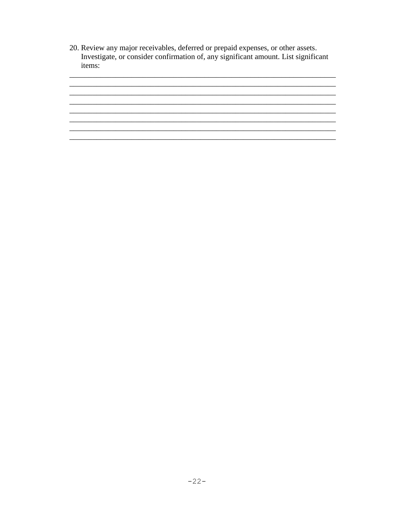20. Review any major receivables, deferred or prepaid expenses, or other assets. Investigate, or consider confirmation of, any significant amount. List significant items:

<u> 1989 - Johann Barn, mars ann an t-Amhain ann an t-Amhain ann an t-Amhain ann an t-Amhain an t-Amhain an t-Amh</u>

<u> 2000 - Andrea Andrew Maria (h. 1878).</u><br>2001 - Andrew Maria (h. 1882). 

<u> 1980 - Jan Sarajević, politički politički politički kalendar i politički kalendar i politički kalendar i poli</u>

<u> 1989 - Johann John Barn, mars an t-Amerikaansk komponist (\* 1989)</u>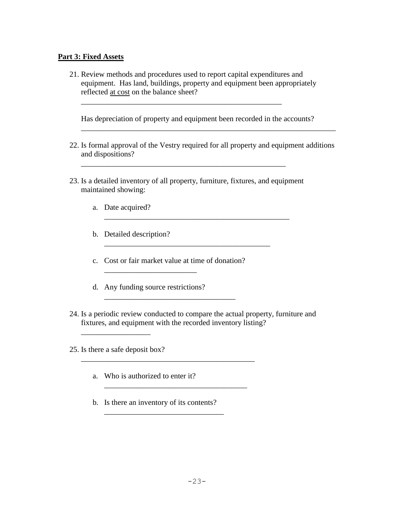#### **Part 3: Fixed Assets**

21. Review methods and procedures used to report capital expenditures and equipment. Has land, buildings, property and equipment been appropriately reflected at cost on the balance sheet?

\_\_\_\_\_\_\_\_\_\_\_\_\_\_\_\_\_\_\_\_\_\_\_\_\_\_\_\_\_\_\_\_\_\_\_\_\_\_\_\_\_\_\_\_\_\_\_\_\_\_\_\_

Has depreciation of property and equipment been recorded in the accounts?

22. Is formal approval of the Vestry required for all property and equipment additions and dispositions?

\_\_\_\_\_\_\_\_\_\_\_\_\_\_\_\_\_\_\_\_\_\_\_\_\_\_\_\_\_\_\_\_\_\_\_\_\_\_\_\_\_\_\_\_\_\_\_\_\_\_\_\_\_\_\_\_\_\_\_\_\_\_\_\_\_\_

23. Is a detailed inventory of all property, furniture, fixtures, and equipment maintained showing:

\_\_\_\_\_\_\_\_\_\_\_\_\_\_\_\_\_\_\_\_\_\_\_\_\_\_\_\_\_\_\_\_\_\_\_\_\_\_\_\_\_\_\_

\_\_\_\_\_\_\_\_\_\_\_\_\_\_\_\_\_\_\_\_\_\_\_\_\_\_\_\_\_\_\_\_\_\_\_\_\_\_\_\_\_\_\_\_\_\_\_\_

\_\_\_\_\_\_\_\_\_\_\_\_\_\_\_\_\_\_\_\_\_\_\_\_\_\_\_\_\_\_\_\_\_\_\_\_\_\_\_\_\_\_\_\_\_\_\_\_\_\_\_\_\_

- a. Date acquired?
- b. Detailed description?

c. Cost or fair market value at time of donation?

\_\_\_\_\_\_\_\_\_\_\_\_\_\_\_\_\_\_\_\_\_\_\_\_\_\_\_\_\_\_\_\_\_\_

\_\_\_\_\_\_\_\_\_\_\_\_\_\_\_\_\_\_\_\_\_\_\_\_\_\_\_\_\_\_\_\_\_\_\_\_\_\_\_\_\_\_\_\_\_

\_\_\_\_\_\_\_\_\_\_\_\_\_\_\_\_\_\_\_\_\_\_\_\_\_\_\_\_\_\_\_\_\_\_\_\_\_

d. Any funding source restrictions?

\_\_\_\_\_\_\_\_\_\_\_\_\_\_\_\_\_\_\_\_\_\_\_\_

24. Is a periodic review conducted to compare the actual property, furniture and fixtures, and equipment with the recorded inventory listing?

25. Is there a safe deposit box?

\_\_\_\_\_\_\_\_\_\_\_\_\_\_\_\_\_\_

- a. Who is authorized to enter it?
- b. Is there an inventory of its contents?

\_\_\_\_\_\_\_\_\_\_\_\_\_\_\_\_\_\_\_\_\_\_\_\_\_\_\_\_\_\_\_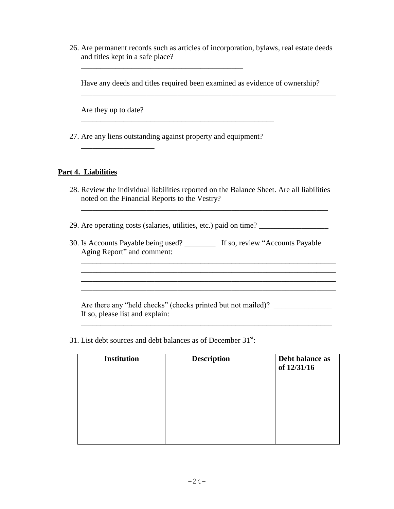26. Are permanent records such as articles of incorporation, bylaws, real estate deeds and titles kept in a safe place?

Have any deeds and titles required been examined as evidence of ownership?

\_\_\_\_\_\_\_\_\_\_\_\_\_\_\_\_\_\_\_\_\_\_\_\_\_\_\_\_\_\_\_\_\_\_\_\_\_\_\_\_\_\_\_\_\_\_\_\_\_\_\_\_\_\_\_\_\_\_\_\_\_\_\_\_\_\_

Are they up to date?

\_\_\_\_\_\_\_\_\_\_\_\_\_\_\_\_\_\_\_

27. Are any liens outstanding against property and equipment?

\_\_\_\_\_\_\_\_\_\_\_\_\_\_\_\_\_\_\_\_\_\_\_\_\_\_\_\_\_\_\_\_\_\_\_\_\_\_\_\_\_\_\_\_\_\_\_\_\_\_

\_\_\_\_\_\_\_\_\_\_\_\_\_\_\_\_\_\_\_\_\_\_\_\_\_\_\_\_\_\_\_\_\_\_\_\_\_\_\_\_\_\_

#### **Part 4. Liabilities**

28. Review the individual liabilities reported on the Balance Sheet. Are all liabilities noted on the Financial Reports to the Vestry?

\_\_\_\_\_\_\_\_\_\_\_\_\_\_\_\_\_\_\_\_\_\_\_\_\_\_\_\_\_\_\_\_\_\_\_\_\_\_\_\_\_\_\_\_\_\_\_\_\_\_\_\_\_\_\_\_\_\_\_\_\_\_\_\_

29. Are operating costs (salaries, utilities, etc.) paid on time? \_\_\_\_\_\_\_\_\_\_\_\_\_\_\_\_\_\_

30. Is Accounts Payable being used? \_\_\_\_\_\_\_\_ If so, review "Accounts Payable Aging Report" and comment:

Are there any "held checks" (checks printed but not mailed)? \_\_\_\_\_\_\_\_\_\_\_\_\_\_\_\_\_\_\_ If so, please list and explain:

31. List debt sources and debt balances as of December  $31^{st}$ :

| <b>Institution</b> | <b>Description</b> | Debt balance as<br>of 12/31/16 |
|--------------------|--------------------|--------------------------------|
|                    |                    |                                |
|                    |                    |                                |
|                    |                    |                                |
|                    |                    |                                |

\_\_\_\_\_\_\_\_\_\_\_\_\_\_\_\_\_\_\_\_\_\_\_\_\_\_\_\_\_\_\_\_\_\_\_\_\_\_\_\_\_\_\_\_\_\_\_\_\_\_\_\_\_\_\_\_\_\_\_\_\_\_\_\_\_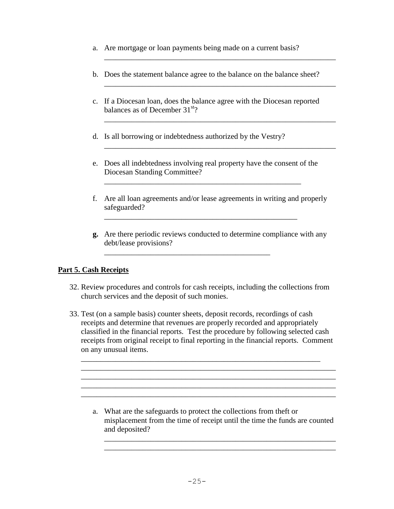- a. Are mortgage or loan payments being made on a current basis?
- b. Does the statement balance agree to the balance on the balance sheet?

\_\_\_\_\_\_\_\_\_\_\_\_\_\_\_\_\_\_\_\_\_\_\_\_\_\_\_\_\_\_\_\_\_\_\_\_\_\_\_\_\_\_\_\_\_\_\_\_\_\_\_\_\_\_\_\_\_\_\_\_

\_\_\_\_\_\_\_\_\_\_\_\_\_\_\_\_\_\_\_\_\_\_\_\_\_\_\_\_\_\_\_\_\_\_\_\_\_\_\_\_\_\_\_\_\_\_\_\_\_\_\_\_\_\_\_\_\_\_\_\_

\_\_\_\_\_\_\_\_\_\_\_\_\_\_\_\_\_\_\_\_\_\_\_\_\_\_\_\_\_\_\_\_\_\_\_\_\_\_\_\_\_\_\_\_\_\_\_\_\_\_\_\_\_\_\_\_\_\_\_\_

\_\_\_\_\_\_\_\_\_\_\_\_\_\_\_\_\_\_\_\_\_\_\_\_\_\_\_\_\_\_\_\_\_\_\_\_\_\_\_\_\_\_\_\_\_\_\_\_\_\_\_\_\_\_\_\_\_\_\_\_

- c. If a Diocesan loan, does the balance agree with the Diocesan reported balances as of December  $31<sup>st</sup>$ ?
- d. Is all borrowing or indebtedness authorized by the Vestry?
- e. Does all indebtedness involving real property have the consent of the Diocesan Standing Committee?

\_\_\_\_\_\_\_\_\_\_\_\_\_\_\_\_\_\_\_\_\_\_\_\_\_\_\_\_\_\_\_\_\_\_\_\_\_\_\_\_\_\_\_\_\_\_\_\_\_\_\_

\_\_\_\_\_\_\_\_\_\_\_\_\_\_\_\_\_\_\_\_\_\_\_\_\_\_\_\_\_\_\_\_\_\_\_\_\_\_\_\_\_\_\_\_\_\_\_\_\_\_

\_\_\_\_\_\_\_\_\_\_\_\_\_\_\_\_\_\_\_\_\_\_\_\_\_\_\_\_\_\_\_\_\_\_\_\_\_\_\_\_\_\_\_

- f. Are all loan agreements and/or lease agreements in writing and properly safeguarded?
- **g.** Are there periodic reviews conducted to determine compliance with any debt/lease provisions?

#### **Part 5. Cash Receipts**

- 32. Review procedures and controls for cash receipts, including the collections from church services and the deposit of such monies.
- 33. Test (on a sample basis) counter sheets, deposit records, recordings of cash receipts and determine that revenues are properly recorded and appropriately classified in the financial reports. Test the procedure by following selected cash receipts from original receipt to final reporting in the financial reports. Comment on any unusual items.

\_\_\_\_\_\_\_\_\_\_\_\_\_\_\_\_\_\_\_\_\_\_\_\_\_\_\_\_\_\_\_\_\_\_\_\_\_\_\_\_\_\_\_\_\_\_\_\_\_\_\_\_\_\_\_\_\_\_\_\_\_\_ \_\_\_\_\_\_\_\_\_\_\_\_\_\_\_\_\_\_\_\_\_\_\_\_\_\_\_\_\_\_\_\_\_\_\_\_\_\_\_\_\_\_\_\_\_\_\_\_\_\_\_\_\_\_\_\_\_\_\_\_\_\_\_\_\_\_ \_\_\_\_\_\_\_\_\_\_\_\_\_\_\_\_\_\_\_\_\_\_\_\_\_\_\_\_\_\_\_\_\_\_\_\_\_\_\_\_\_\_\_\_\_\_\_\_\_\_\_\_\_\_\_\_\_\_\_\_\_\_\_\_\_\_ \_\_\_\_\_\_\_\_\_\_\_\_\_\_\_\_\_\_\_\_\_\_\_\_\_\_\_\_\_\_\_\_\_\_\_\_\_\_\_\_\_\_\_\_\_\_\_\_\_\_\_\_\_\_\_\_\_\_\_\_\_\_\_\_\_\_ \_\_\_\_\_\_\_\_\_\_\_\_\_\_\_\_\_\_\_\_\_\_\_\_\_\_\_\_\_\_\_\_\_\_\_\_\_\_\_\_\_\_\_\_\_\_\_\_\_\_\_\_\_\_\_\_\_\_\_\_\_\_\_\_\_\_

a. What are the safeguards to protect the collections from theft or misplacement from the time of receipt until the time the funds are counted and deposited?

\_\_\_\_\_\_\_\_\_\_\_\_\_\_\_\_\_\_\_\_\_\_\_\_\_\_\_\_\_\_\_\_\_\_\_\_\_\_\_\_\_\_\_\_\_\_\_\_\_\_\_\_\_\_\_\_\_\_\_\_ \_\_\_\_\_\_\_\_\_\_\_\_\_\_\_\_\_\_\_\_\_\_\_\_\_\_\_\_\_\_\_\_\_\_\_\_\_\_\_\_\_\_\_\_\_\_\_\_\_\_\_\_\_\_\_\_\_\_\_\_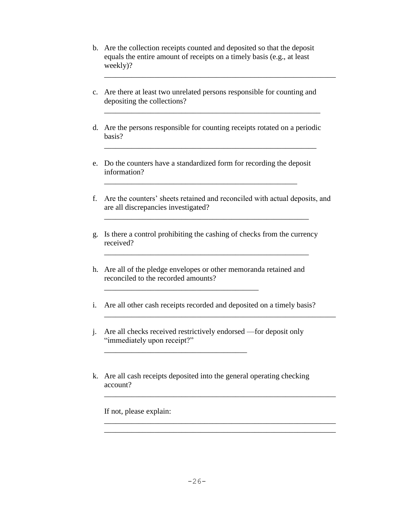- b. Are the collection receipts counted and deposited so that the deposit equals the entire amount of receipts on a timely basis (e.g., at least weekly)?
- c. Are there at least two unrelated persons responsible for counting and depositing the collections?

\_\_\_\_\_\_\_\_\_\_\_\_\_\_\_\_\_\_\_\_\_\_\_\_\_\_\_\_\_\_\_\_\_\_\_\_\_\_\_\_\_\_\_\_\_\_\_\_\_\_\_\_\_\_\_\_\_\_\_\_

d. Are the persons responsible for counting receipts rotated on a periodic basis?

\_\_\_\_\_\_\_\_\_\_\_\_\_\_\_\_\_\_\_\_\_\_\_\_\_\_\_\_\_\_\_\_\_\_\_\_\_\_\_\_\_\_\_\_\_\_\_\_\_\_\_\_\_\_\_

\_\_\_\_\_\_\_\_\_\_\_\_\_\_\_\_\_\_\_\_\_\_\_\_\_\_\_\_\_\_\_\_\_\_\_\_\_\_\_\_\_\_\_\_\_\_\_\_\_\_\_\_\_\_\_\_

e. Do the counters have a standardized form for recording the deposit information?

\_\_\_\_\_\_\_\_\_\_\_\_\_\_\_\_\_\_\_\_\_\_\_\_\_\_\_\_\_\_\_\_\_\_\_\_\_\_\_\_\_\_\_\_\_\_\_\_\_\_

- f. Are the counters' sheets retained and reconciled with actual deposits, and are all discrepancies investigated?
- g. Is there a control prohibiting the cashing of checks from the currency received?

\_\_\_\_\_\_\_\_\_\_\_\_\_\_\_\_\_\_\_\_\_\_\_\_\_\_\_\_\_\_\_\_\_\_\_\_\_\_\_\_\_\_\_\_\_\_\_\_\_\_\_\_\_

\_\_\_\_\_\_\_\_\_\_\_\_\_\_\_\_\_\_\_\_\_\_\_\_\_\_\_\_\_\_\_\_\_\_\_\_\_\_\_\_\_\_\_\_\_\_\_\_\_\_\_\_\_

h. Are all of the pledge envelopes or other memoranda retained and reconciled to the recorded amounts?

\_\_\_\_\_\_\_\_\_\_\_\_\_\_\_\_\_\_\_\_\_\_\_\_\_\_\_\_\_\_\_\_\_\_\_\_\_\_\_\_

\_\_\_\_\_\_\_\_\_\_\_\_\_\_\_\_\_\_\_\_\_\_\_\_\_\_\_\_\_\_\_\_\_\_\_\_\_

i. Are all other cash receipts recorded and deposited on a timely basis?

\_\_\_\_\_\_\_\_\_\_\_\_\_\_\_\_\_\_\_\_\_\_\_\_\_\_\_\_\_\_\_\_\_\_\_\_\_\_\_\_\_\_\_\_\_\_\_\_\_\_\_\_\_\_\_\_\_\_\_\_

\_\_\_\_\_\_\_\_\_\_\_\_\_\_\_\_\_\_\_\_\_\_\_\_\_\_\_\_\_\_\_\_\_\_\_\_\_\_\_\_\_\_\_\_\_\_\_\_\_\_\_\_\_\_\_\_\_\_\_\_

\_\_\_\_\_\_\_\_\_\_\_\_\_\_\_\_\_\_\_\_\_\_\_\_\_\_\_\_\_\_\_\_\_\_\_\_\_\_\_\_\_\_\_\_\_\_\_\_\_\_\_\_\_\_\_\_\_\_\_\_ \_\_\_\_\_\_\_\_\_\_\_\_\_\_\_\_\_\_\_\_\_\_\_\_\_\_\_\_\_\_\_\_\_\_\_\_\_\_\_\_\_\_\_\_\_\_\_\_\_\_\_\_\_\_\_\_\_\_\_\_

- j. Are all checks received restrictively endorsed —for deposit only "immediately upon receipt?"
- k. Are all cash receipts deposited into the general operating checking account?

If not, please explain: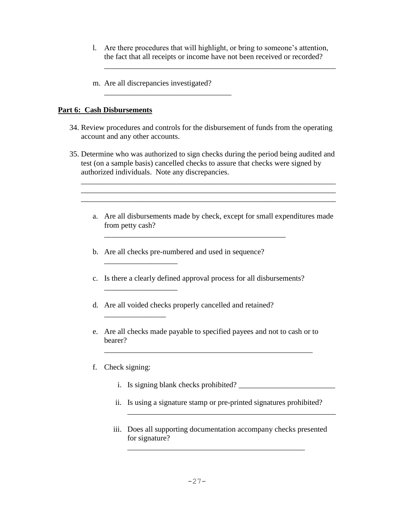l. Are there procedures that will highlight, or bring to someone's attention, the fact that all receipts or income have not been received or recorded?

\_\_\_\_\_\_\_\_\_\_\_\_\_\_\_\_\_\_\_\_\_\_\_\_\_\_\_\_\_\_\_\_\_\_\_\_\_\_\_\_\_\_\_\_\_\_\_\_\_\_\_\_\_\_\_\_\_\_\_\_

m. Are all discrepancies investigated?

\_\_\_\_\_\_\_\_\_\_\_\_\_\_\_\_\_\_\_\_\_\_\_\_\_\_\_\_\_\_\_\_\_

#### **Part 6: Cash Disbursements**

- 34. Review procedures and controls for the disbursement of funds from the operating account and any other accounts.
- 35. Determine who was authorized to sign checks during the period being audited and test (on a sample basis) cancelled checks to assure that checks were signed by authorized individuals. Note any discrepancies.

\_\_\_\_\_\_\_\_\_\_\_\_\_\_\_\_\_\_\_\_\_\_\_\_\_\_\_\_\_\_\_\_\_\_\_\_\_\_\_\_\_\_\_\_\_\_\_\_\_\_\_\_\_\_\_\_\_\_\_\_\_\_\_\_\_\_ \_\_\_\_\_\_\_\_\_\_\_\_\_\_\_\_\_\_\_\_\_\_\_\_\_\_\_\_\_\_\_\_\_\_\_\_\_\_\_\_\_\_\_\_\_\_\_\_\_\_\_\_\_\_\_\_\_\_\_\_\_\_\_\_\_\_

- a. Are all disbursements made by check, except for small expenditures made from petty cash?
- b. Are all checks pre-numbered and used in sequence?
- c. Is there a clearly defined approval process for all disbursements?

\_\_\_\_\_\_\_\_\_\_\_\_\_\_\_\_\_\_\_\_\_\_\_\_\_\_\_\_\_\_\_\_\_\_\_\_\_\_\_\_\_\_\_\_\_\_\_

- d. Are all voided checks properly cancelled and retained?
- e. Are all checks made payable to specified payees and not to cash or to bearer?

\_\_\_\_\_\_\_\_\_\_\_\_\_\_\_\_\_\_\_\_\_\_\_\_\_\_\_\_\_\_\_\_\_\_\_\_\_\_\_\_\_\_\_\_\_\_\_\_\_\_\_\_\_\_

#### f. Check signing:

\_\_\_\_\_\_\_\_\_\_\_\_\_\_\_\_\_\_\_

\_\_\_\_\_\_\_\_\_\_\_\_\_\_\_\_

i. Is signing blank checks prohibited? \_\_\_\_\_\_\_\_\_\_\_\_\_\_\_\_\_\_\_\_\_\_\_\_\_

\_\_\_\_\_\_\_\_\_\_\_\_\_\_\_\_\_\_\_\_\_\_\_\_\_\_\_\_\_\_\_\_\_\_\_\_\_\_\_\_\_\_\_\_\_\_\_\_\_\_\_\_\_\_

- ii. Is using a signature stamp or pre-printed signatures prohibited?
- iii. Does all supporting documentation accompany checks presented for signature?

\_\_\_\_\_\_\_\_\_\_\_\_\_\_\_\_\_\_\_\_\_\_\_\_\_\_\_\_\_\_\_\_\_\_\_\_\_\_\_\_\_\_\_\_\_\_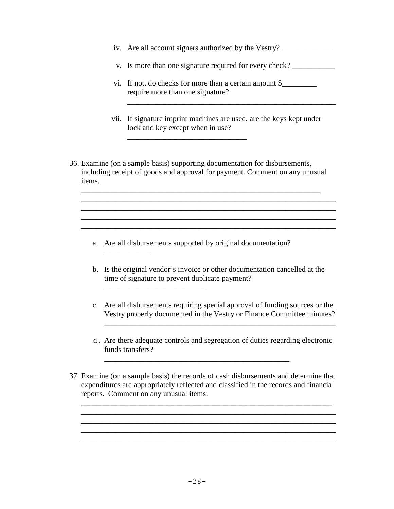- iv. Are all account signers authorized by the Vestry? \_\_\_\_\_\_\_\_\_\_\_\_\_\_\_\_\_\_\_\_\_\_\_\_\_\_
- v. Is more than one signature required for every check? \_\_\_\_\_\_\_\_\_\_\_\_\_\_\_\_\_\_\_\_\_\_\_\_

\_\_\_\_\_\_\_\_\_\_\_\_\_\_\_\_\_\_\_\_\_\_\_\_\_\_\_\_\_\_\_\_\_\_\_\_\_\_\_\_\_\_\_\_\_\_\_\_\_\_\_\_\_\_

- vi. If not, do checks for more than a certain amount \$\_\_\_\_\_\_\_\_\_\_\_\_\_\_\_\_\_\_\_\_\_\_\_\_\_\_ require more than one signature?
- vii. If signature imprint machines are used, are the keys kept under lock and key except when in use?
- 36. Examine (on a sample basis) supporting documentation for disbursements, including receipt of goods and approval for payment. Comment on any unusual items.

\_\_\_\_\_\_\_\_\_\_\_\_\_\_\_\_\_\_\_\_\_\_\_\_\_\_\_\_\_\_\_\_\_\_\_\_\_\_\_\_\_\_\_\_\_\_\_\_\_\_\_\_\_\_\_\_\_\_\_\_\_\_ \_\_\_\_\_\_\_\_\_\_\_\_\_\_\_\_\_\_\_\_\_\_\_\_\_\_\_\_\_\_\_\_\_\_\_\_\_\_\_\_\_\_\_\_\_\_\_\_\_\_\_\_\_\_\_\_\_\_\_\_\_\_\_\_\_\_ \_\_\_\_\_\_\_\_\_\_\_\_\_\_\_\_\_\_\_\_\_\_\_\_\_\_\_\_\_\_\_\_\_\_\_\_\_\_\_\_\_\_\_\_\_\_\_\_\_\_\_\_\_\_\_\_\_\_\_\_\_\_\_\_\_\_

\_\_\_\_\_\_\_\_\_\_\_\_\_\_\_\_\_\_\_\_\_\_\_\_\_\_\_\_\_\_\_

a. Are all disbursements supported by original documentation?

\_\_\_\_\_\_\_\_\_\_\_\_

b. Is the original vendor's invoice or other documentation cancelled at the time of signature to prevent duplicate payment?

\_\_\_\_\_\_\_\_\_\_\_\_\_\_\_\_\_\_\_\_\_\_\_\_\_\_\_\_\_\_\_\_\_\_\_\_\_\_\_\_\_\_\_\_\_\_\_\_\_\_\_\_\_\_\_\_\_\_\_\_\_\_\_\_\_\_

c. Are all disbursements requiring special approval of funding sources or the Vestry properly documented in the Vestry or Finance Committee minutes?

\_\_\_\_\_\_\_\_\_\_\_\_\_\_\_\_\_\_\_\_\_\_\_\_\_\_\_\_\_\_\_\_\_\_\_\_\_\_\_\_\_\_\_\_\_\_\_\_\_\_\_\_\_\_\_\_\_\_\_\_

- d. Are there adequate controls and segregation of duties regarding electronic funds transfers?
- 37. Examine (on a sample basis) the records of cash disbursements and determine that expenditures are appropriately reflected and classified in the records and financial reports. Comment on any unusual items.

\_\_\_\_\_\_\_\_\_\_\_\_\_\_\_\_\_\_\_\_\_\_\_\_\_\_\_\_\_\_\_\_\_\_\_\_\_\_\_\_\_\_\_\_\_\_\_\_\_\_\_\_\_\_\_\_\_\_\_\_\_\_\_\_\_ \_\_\_\_\_\_\_\_\_\_\_\_\_\_\_\_\_\_\_\_\_\_\_\_\_\_\_\_\_\_\_\_\_\_\_\_\_\_\_\_\_\_\_\_\_\_\_\_\_\_\_\_\_\_\_\_\_\_\_\_\_\_\_\_\_\_

\_\_\_\_\_\_\_\_\_\_\_\_\_\_\_\_\_\_\_\_\_\_\_\_\_\_\_\_\_\_\_\_\_\_\_\_\_\_\_\_\_\_\_\_\_\_\_\_\_\_\_\_\_\_\_\_\_\_\_\_\_\_\_\_\_\_ \_\_\_\_\_\_\_\_\_\_\_\_\_\_\_\_\_\_\_\_\_\_\_\_\_\_\_\_\_\_\_\_\_\_\_\_\_\_\_\_\_\_\_\_\_\_\_\_\_\_\_\_\_\_\_\_\_\_\_\_\_\_\_\_\_\_

\_\_\_\_\_\_\_\_\_\_\_\_\_\_\_\_\_\_\_\_\_\_\_\_\_\_\_\_\_\_\_\_\_\_\_\_\_\_\_\_\_\_\_\_\_\_\_\_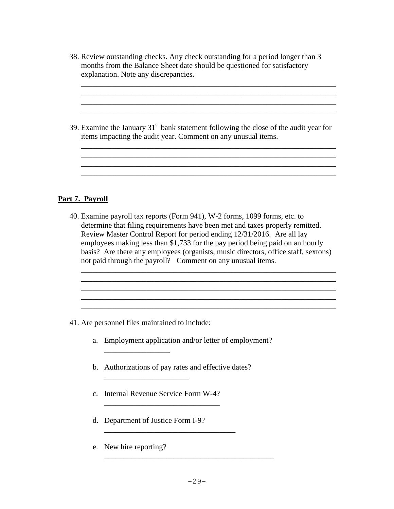- 38. Review outstanding checks. Any check outstanding for a period longer than 3 months from the Balance Sheet date should be questioned for satisfactory explanation. Note any discrepancies.
- 39. Examine the January  $31<sup>st</sup>$  bank statement following the close of the audit year for items impacting the audit year. Comment on any unusual items.

\_\_\_\_\_\_\_\_\_\_\_\_\_\_\_\_\_\_\_\_\_\_\_\_\_\_\_\_\_\_\_\_\_\_\_\_\_\_\_\_\_\_\_\_\_\_\_\_\_\_\_\_\_\_\_\_\_\_\_\_\_\_\_\_\_\_ \_\_\_\_\_\_\_\_\_\_\_\_\_\_\_\_\_\_\_\_\_\_\_\_\_\_\_\_\_\_\_\_\_\_\_\_\_\_\_\_\_\_\_\_\_\_\_\_\_\_\_\_\_\_\_\_\_\_\_\_\_\_\_\_\_\_ \_\_\_\_\_\_\_\_\_\_\_\_\_\_\_\_\_\_\_\_\_\_\_\_\_\_\_\_\_\_\_\_\_\_\_\_\_\_\_\_\_\_\_\_\_\_\_\_\_\_\_\_\_\_\_\_\_\_\_\_\_\_\_\_\_\_

\_\_\_\_\_\_\_\_\_\_\_\_\_\_\_\_\_\_\_\_\_\_\_\_\_\_\_\_\_\_\_\_\_\_\_\_\_\_\_\_\_\_\_\_\_\_\_\_\_\_\_\_\_\_\_\_\_\_\_\_\_\_\_\_\_\_ \_\_\_\_\_\_\_\_\_\_\_\_\_\_\_\_\_\_\_\_\_\_\_\_\_\_\_\_\_\_\_\_\_\_\_\_\_\_\_\_\_\_\_\_\_\_\_\_\_\_\_\_\_\_\_\_\_\_\_\_\_\_\_\_\_\_ \_\_\_\_\_\_\_\_\_\_\_\_\_\_\_\_\_\_\_\_\_\_\_\_\_\_\_\_\_\_\_\_\_\_\_\_\_\_\_\_\_\_\_\_\_\_\_\_\_\_\_\_\_\_\_\_\_\_\_\_\_\_\_\_\_\_

#### **Part 7. Payroll**

40. Examine payroll tax reports (Form 941), W-2 forms, 1099 forms, etc. to determine that filing requirements have been met and taxes properly remitted. Review Master Control Report for period ending 12/31/2016. Are all lay employees making less than \$1,733 for the pay period being paid on an hourly basis? Are there any employees (organists, music directors, office staff, sextons) not paid through the payroll? Comment on any unusual items.

\_\_\_\_\_\_\_\_\_\_\_\_\_\_\_\_\_\_\_\_\_\_\_\_\_\_\_\_\_\_\_\_\_\_\_\_\_\_\_\_\_\_\_\_\_\_\_\_\_\_\_\_\_\_\_\_\_\_\_\_\_\_\_\_\_\_

41. Are personnel files maintained to include:

\_\_\_\_\_\_\_\_\_\_\_\_\_\_\_\_\_

- a. Employment application and/or letter of employment?
- b. Authorizations of pay rates and effective dates?

\_\_\_\_\_\_\_\_\_\_\_\_\_\_\_\_\_\_\_\_\_\_\_\_\_\_\_\_\_\_\_\_\_\_

- c. Internal Revenue Service Form W-4?
- d. Department of Justice Form I-9?

 $\mathcal{L}_\text{max}$  , where  $\mathcal{L}_\text{max}$  and  $\mathcal{L}_\text{max}$ 

e. New hire reporting?

\_\_\_\_\_\_\_\_\_\_\_\_\_\_\_\_\_\_\_\_\_\_\_\_\_\_\_\_\_\_\_\_\_\_\_\_\_\_\_\_\_\_\_\_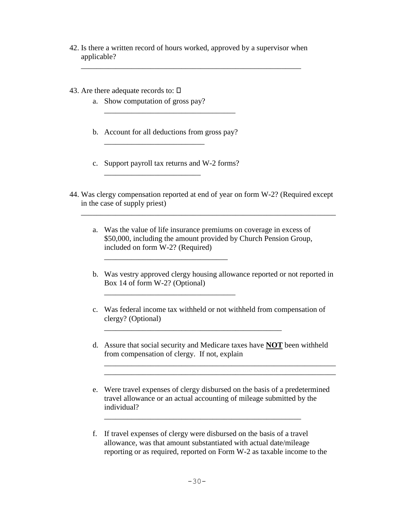42. Is there a written record of hours worked, approved by a supervisor when applicable?

\_\_\_\_\_\_\_\_\_\_\_\_\_\_\_\_\_\_\_\_\_\_\_\_\_\_\_\_\_\_\_\_\_\_\_\_\_\_\_\_\_\_\_\_\_\_\_\_\_\_\_\_\_\_\_\_\_

- 43. Are there adequate records to:  $\square$ 
	- a. Show computation of gross pay?

\_\_\_\_\_\_\_\_\_\_\_\_\_\_\_\_\_\_\_\_\_\_\_\_\_\_

\_\_\_\_\_\_\_\_\_\_\_\_\_\_\_\_\_\_\_\_\_\_\_\_\_

b. Account for all deductions from gross pay?

\_\_\_\_\_\_\_\_\_\_\_\_\_\_\_\_\_\_\_\_\_\_\_\_\_\_\_\_\_\_\_\_\_\_

c. Support payroll tax returns and W-2 forms?

\_\_\_\_\_\_\_\_\_\_\_\_\_\_\_\_\_\_\_\_\_\_\_\_\_\_\_\_\_\_\_\_\_\_

44. Was clergy compensation reported at end of year on form W-2? (Required except in the case of supply priest)

\_\_\_\_\_\_\_\_\_\_\_\_\_\_\_\_\_\_\_\_\_\_\_\_\_\_\_\_\_\_\_\_\_\_\_\_\_\_\_\_\_\_\_\_\_\_\_\_\_\_\_\_\_\_\_\_\_\_\_\_\_\_\_\_\_\_

- a. Was the value of life insurance premiums on coverage in excess of \$50,000, including the amount provided by Church Pension Group, included on form W-2? (Required)
- b. Was vestry approved clergy housing allowance reported or not reported in Box 14 of form W-2? (Optional)
- c. Was federal income tax withheld or not withheld from compensation of clergy? (Optional)

\_\_\_\_\_\_\_\_\_\_\_\_\_\_\_\_\_\_\_\_\_\_\_\_\_\_\_\_\_\_\_\_\_\_\_\_\_\_\_\_\_\_\_\_\_\_

d. Assure that social security and Medicare taxes have **NOT** been withheld from compensation of clergy. If not, explain

\_\_\_\_\_\_\_\_\_\_\_\_\_\_\_\_\_\_\_\_\_\_\_\_\_\_\_\_\_\_\_\_\_\_\_\_\_\_\_\_\_\_\_\_\_\_\_\_\_\_\_\_\_\_\_\_\_\_\_\_ \_\_\_\_\_\_\_\_\_\_\_\_\_\_\_\_\_\_\_\_\_\_\_\_\_\_\_\_\_\_\_\_\_\_\_\_\_\_\_\_\_\_\_\_\_\_\_\_\_\_\_\_\_\_\_\_\_\_\_\_

- e. Were travel expenses of clergy disbursed on the basis of a predetermined travel allowance or an actual accounting of mileage submitted by the individual?
- f. If travel expenses of clergy were disbursed on the basis of a travel allowance, was that amount substantiated with actual date/mileage reporting or as required, reported on Form W-2 as taxable income to the

\_\_\_\_\_\_\_\_\_\_\_\_\_\_\_\_\_\_\_\_\_\_\_\_\_\_\_\_\_\_\_\_\_\_\_\_\_\_\_\_\_\_\_\_\_\_\_\_\_\_\_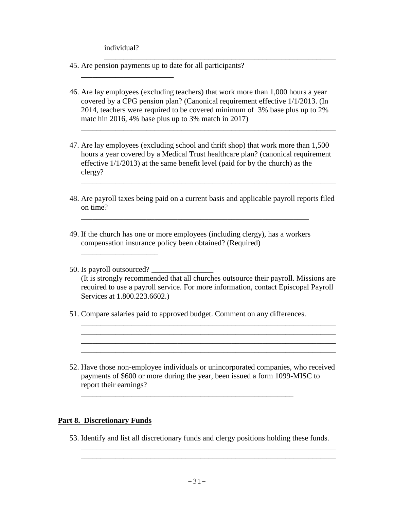individual?

\_\_\_\_\_\_\_\_\_\_\_\_\_\_\_\_\_\_\_\_\_\_\_\_

\_\_\_\_\_\_\_\_\_\_\_\_\_\_\_\_\_\_\_\_

- 45. Are pension payments up to date for all participants?
- 46. Are lay employees (excluding teachers) that work more than 1,000 hours a year covered by a CPG pension plan? (Canonical requirement effective 1/1/2013. (In 2014, teachers were required to be covered minimum of 3% base plus up to 2% matc hin 2016, 4% base plus up to 3% match in 2017)

\_\_\_\_\_\_\_\_\_\_\_\_\_\_\_\_\_\_\_\_\_\_\_\_\_\_\_\_\_\_\_\_\_\_\_\_\_\_\_\_\_\_\_\_\_\_\_\_\_\_\_\_\_\_\_\_\_\_\_\_

47. Are lay employees (excluding school and thrift shop) that work more than 1,500 hours a year covered by a Medical Trust healthcare plan? (canonical requirement effective 1/1/2013) at the same benefit level (paid for by the church) as the clergy?

\_\_\_\_\_\_\_\_\_\_\_\_\_\_\_\_\_\_\_\_\_\_\_\_\_\_\_\_\_\_\_\_\_\_\_\_\_\_\_\_\_\_\_\_\_\_\_\_\_\_\_\_\_\_\_\_\_\_\_\_\_\_\_\_\_\_

48. Are payroll taxes being paid on a current basis and applicable payroll reports filed on time?

\_\_\_\_\_\_\_\_\_\_\_\_\_\_\_\_\_\_\_\_\_\_\_\_\_\_\_\_\_\_\_\_\_\_\_\_\_\_\_\_\_\_\_\_\_\_\_\_\_\_\_\_\_\_\_\_\_\_\_\_\_\_\_\_\_\_

49. If the church has one or more employees (including clergy), has a workers compensation insurance policy been obtained? (Required)

\_\_\_\_\_\_\_\_\_\_\_\_\_\_\_\_\_\_\_\_\_\_\_\_\_\_\_\_\_\_\_\_\_\_\_\_\_\_\_\_\_\_\_\_\_\_\_\_\_\_\_\_\_\_\_\_\_\_\_

50. Is payroll outsourced? \_\_\_\_\_\_\_\_\_\_\_\_\_\_\_\_ (It is strongly recommended that all churches outsource their payroll. Missions are required to use a payroll service. For more information, contact Episcopal Payroll Services at 1.800.223.6602.)

\_\_\_\_\_\_\_\_\_\_\_\_\_\_\_\_\_\_\_\_\_\_\_\_\_\_\_\_\_\_\_\_\_\_\_\_\_\_\_\_\_\_\_\_\_\_\_\_\_\_\_\_\_\_\_\_\_\_\_\_\_\_\_\_\_\_ \_\_\_\_\_\_\_\_\_\_\_\_\_\_\_\_\_\_\_\_\_\_\_\_\_\_\_\_\_\_\_\_\_\_\_\_\_\_\_\_\_\_\_\_\_\_\_\_\_\_\_\_\_\_\_\_\_\_\_\_\_\_\_\_\_\_

\_\_\_\_\_\_\_\_\_\_\_\_\_\_\_\_\_\_\_\_\_\_\_\_\_\_\_\_\_\_\_\_\_\_\_\_\_\_\_\_\_\_\_\_\_\_\_\_\_\_\_\_\_\_\_\_\_\_\_\_\_\_\_\_\_\_

51. Compare salaries paid to approved budget. Comment on any differences.

\_\_\_\_\_\_\_\_\_\_\_\_\_\_\_\_\_\_\_\_\_\_\_\_\_\_\_\_\_\_\_\_\_\_\_\_\_\_\_\_\_\_\_\_\_\_\_\_\_\_\_\_\_\_\_

52. Have those non-employee individuals or unincorporated companies, who received payments of \$600 or more during the year, been issued a form 1099-MISC to report their earnings?

#### **Part 8. Discretionary Funds**

53. Identify and list all discretionary funds and clergy positions holding these funds.

\_\_\_\_\_\_\_\_\_\_\_\_\_\_\_\_\_\_\_\_\_\_\_\_\_\_\_\_\_\_\_\_\_\_\_\_\_\_\_\_\_\_\_\_\_\_\_\_\_\_\_\_\_\_\_\_\_\_\_\_\_\_\_\_\_\_ \_\_\_\_\_\_\_\_\_\_\_\_\_\_\_\_\_\_\_\_\_\_\_\_\_\_\_\_\_\_\_\_\_\_\_\_\_\_\_\_\_\_\_\_\_\_\_\_\_\_\_\_\_\_\_\_\_\_\_\_\_\_\_\_\_\_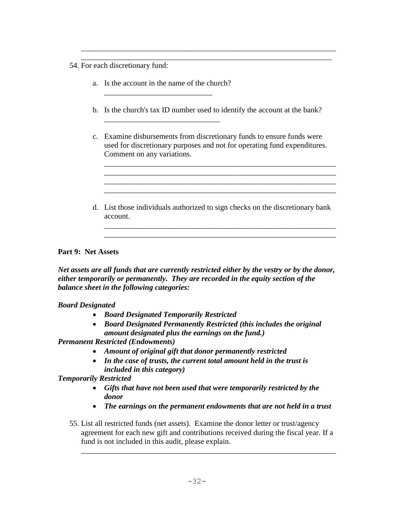- 54. For each discretionary fund:
	- a. Is the account in the name of the church? \_\_\_\_\_\_\_\_\_\_\_\_\_\_\_\_\_\_\_\_\_\_\_\_\_\_\_\_

\_\_\_\_\_\_\_\_\_\_\_\_\_\_\_\_\_\_\_\_\_\_\_\_\_\_\_\_\_\_

b. Is the church's tax ID number used to identify the account at the bank?

\_\_\_\_\_\_\_\_\_\_\_\_\_\_\_\_\_\_\_\_\_\_\_\_\_\_\_\_\_\_\_\_\_\_\_\_\_\_\_\_\_\_\_\_\_\_\_\_\_\_\_\_\_\_\_\_\_\_\_\_\_\_\_\_\_\_ \_\_\_\_\_\_\_\_\_\_\_\_\_\_\_\_\_\_\_\_\_\_\_\_\_\_\_\_\_\_\_\_\_\_\_\_\_\_\_\_\_\_\_\_\_\_\_\_\_\_\_\_\_\_\_\_\_\_\_\_\_\_\_\_\_

c. Examine disbursements from discretionary funds to ensure funds were used for discretionary purposes and not for operating fund expenditures. Comment on any variations.

\_\_\_\_\_\_\_\_\_\_\_\_\_\_\_\_\_\_\_\_\_\_\_\_\_\_\_\_\_\_\_\_\_\_\_\_\_\_\_\_\_\_\_\_\_\_\_\_\_\_\_\_\_\_\_\_\_\_\_\_

\_\_\_\_\_\_\_\_\_\_\_\_\_\_\_\_\_\_\_\_\_\_\_\_\_\_\_\_\_\_\_\_\_\_\_\_\_\_\_\_\_\_\_\_\_\_\_\_\_\_\_\_\_\_\_\_\_\_\_\_ \_\_\_\_\_\_\_\_\_\_\_\_\_\_\_\_\_\_\_\_\_\_\_\_\_\_\_\_\_\_\_\_\_\_\_\_\_\_\_\_\_\_\_\_\_\_\_\_\_\_\_\_\_\_\_\_\_\_\_\_

\_\_\_\_\_\_\_\_\_\_\_\_\_\_\_\_\_\_\_\_\_\_\_\_\_\_\_\_\_\_\_\_\_\_\_\_\_\_\_\_\_\_\_\_\_\_\_\_\_\_\_\_\_\_\_\_\_\_\_\_ \_\_\_\_\_\_\_\_\_\_\_\_\_\_\_\_\_\_\_\_\_\_\_\_\_\_\_\_\_\_\_\_\_\_\_\_\_\_\_\_\_\_\_\_\_\_\_\_\_\_\_\_\_\_\_\_\_\_\_\_

d. List those individuals authorized to sign checks on the discretionary bank account.

#### **Part 9: Net Assets**

*Net assets are all funds that are currently restricted either by the vestry or by the donor, either temporarily or permanently. They are recorded in the equity section of the balance sheet in the following categories:*

#### *Board Designated*

- *Board Designated Temporarily Restricted*
- *Board Designated Permanently Restricted (this includes the original amount designated plus the earnings on the fund.)*

*Permanent Restricted (Endowments)*

- *Amount of original gift that donor permanently restricted*
- *In the case of trusts, the current total amount held in the trust is included in this category)*

#### *Temporarily Restricted*

- *Gifts that have not been used that were temporarily restricted by the donor*
- *The earnings on the permanent endowments that are not held in a trust*
- 55. List all restricted funds (net assets). Examine the donor letter or trust/agency agreement for each new gift and contributions received during the fiscal year. If a fund is not included in this audit, please explain.

\_\_\_\_\_\_\_\_\_\_\_\_\_\_\_\_\_\_\_\_\_\_\_\_\_\_\_\_\_\_\_\_\_\_\_\_\_\_\_\_\_\_\_\_\_\_\_\_\_\_\_\_\_\_\_\_\_\_\_\_\_\_\_\_\_\_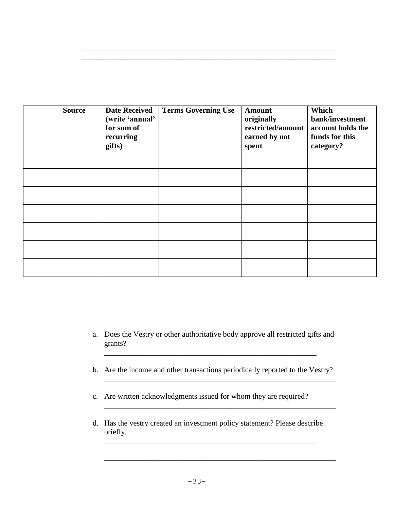| <b>Source</b> | <b>Date Received</b><br>(write 'annual'<br>for sum of<br>recurring<br>gifts) | <b>Terms Governing Use</b> | <b>Amount</b><br>originally<br>restricted/amount<br>earned by not<br>spent | Which<br>bank/investment<br>account holds the<br>funds for this<br>category? |
|---------------|------------------------------------------------------------------------------|----------------------------|----------------------------------------------------------------------------|------------------------------------------------------------------------------|
|               |                                                                              |                            |                                                                            |                                                                              |
|               |                                                                              |                            |                                                                            |                                                                              |
|               |                                                                              |                            |                                                                            |                                                                              |
|               |                                                                              |                            |                                                                            |                                                                              |
|               |                                                                              |                            |                                                                            |                                                                              |
|               |                                                                              |                            |                                                                            |                                                                              |
|               |                                                                              |                            |                                                                            |                                                                              |

\_\_\_\_\_\_\_\_\_\_\_\_\_\_\_\_\_\_\_\_\_\_\_\_\_\_\_\_\_\_\_\_\_\_\_\_\_\_\_\_\_\_\_\_\_\_\_\_\_\_\_\_\_\_\_\_\_\_\_\_\_\_\_\_\_\_ \_\_\_\_\_\_\_\_\_\_\_\_\_\_\_\_\_\_\_\_\_\_\_\_\_\_\_\_\_\_\_\_\_\_\_\_\_\_\_\_\_\_\_\_\_\_\_\_\_\_\_\_\_\_\_\_\_\_\_\_\_\_\_\_\_\_

- a. Does the Vestry or other authoritative body approve all restricted gifts and grants?
- b. Are the income and other transactions periodically reported to the Vestry?

\_\_\_\_\_\_\_\_\_\_\_\_\_\_\_\_\_\_\_\_\_\_\_\_\_\_\_\_\_\_\_\_\_\_\_\_\_\_\_\_\_\_\_\_\_\_\_\_\_\_\_\_\_\_\_\_\_\_\_\_

\_\_\_\_\_\_\_\_\_\_\_\_\_\_\_\_\_\_\_\_\_\_\_\_\_\_\_\_\_\_\_\_\_\_\_\_\_\_\_\_\_\_\_\_\_\_\_\_\_\_\_\_\_\_\_\_\_\_\_\_

\_\_\_\_\_\_\_\_\_\_\_\_\_\_\_\_\_\_\_\_\_\_\_\_\_\_\_\_\_\_\_\_\_\_\_\_\_\_\_\_\_\_\_\_\_\_\_\_\_\_\_\_\_\_\_\_\_\_\_\_

\_\_\_\_\_\_\_\_\_\_\_\_\_\_\_\_\_\_\_\_\_\_\_\_\_\_\_\_\_\_\_\_\_\_\_\_\_\_\_\_\_\_\_\_\_\_\_\_\_\_\_\_\_\_\_

- c. Are written acknowledgments issued for whom they are required?
- d. Has the vestry created an investment policy statement? Please describe briefly.

\_\_\_\_\_\_\_\_\_\_\_\_\_\_\_\_\_\_\_\_\_\_\_\_\_\_\_\_\_\_\_\_\_\_\_\_\_\_\_\_\_\_\_\_\_\_\_\_\_\_\_\_\_\_\_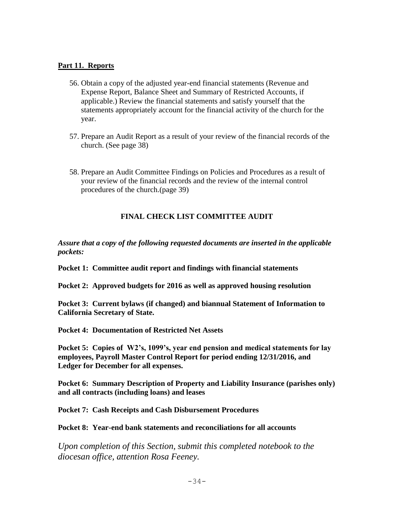#### **Part 11. Reports**

- 56. Obtain a copy of the adjusted year-end financial statements (Revenue and Expense Report, Balance Sheet and Summary of Restricted Accounts, if applicable.) Review the financial statements and satisfy yourself that the statements appropriately account for the financial activity of the church for the year.
- 57. Prepare an Audit Report as a result of your review of the financial records of the church. (See page 38)
- 58. Prepare an Audit Committee Findings on Policies and Procedures as a result of your review of the financial records and the review of the internal control procedures of the church.(page 39)

#### **FINAL CHECK LIST COMMITTEE AUDIT**

*Assure that a copy of the following requested documents are inserted in the applicable pockets:*

**Pocket 1: Committee audit report and findings with financial statements** 

**Pocket 2: Approved budgets for 2016 as well as approved housing resolution**

**Pocket 3: Current bylaws (if changed) and biannual Statement of Information to California Secretary of State.** 

**Pocket 4: Documentation of Restricted Net Assets**

**Pocket 5: Copies of W2's, 1099's, year end pension and medical statements for lay employees, Payroll Master Control Report for period ending 12/31/2016, and Ledger for December for all expenses.**

**Pocket 6: Summary Description of Property and Liability Insurance (parishes only) and all contracts (including loans) and leases**

**Pocket 7: Cash Receipts and Cash Disbursement Procedures**

**Pocket 8: Year-end bank statements and reconciliations for all accounts**

*Upon completion of this Section, submit this completed notebook to the diocesan office, attention Rosa Feeney.*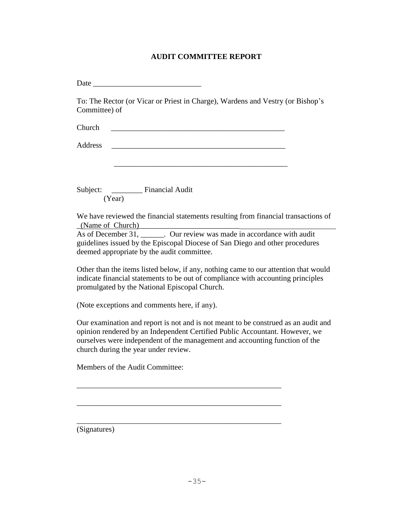#### **AUDIT COMMITTEE REPORT**

Date \_\_\_\_\_\_\_\_\_\_\_\_\_\_\_\_\_\_\_\_\_\_\_\_\_\_\_\_

To: The Rector (or Vicar or Priest in Charge), Wardens and Vestry (or Bishop's Committee) of

\_\_\_\_\_\_\_\_\_\_\_\_\_\_\_\_\_\_\_\_\_\_\_\_\_\_\_\_\_\_\_\_\_\_\_\_\_\_\_\_\_\_\_\_\_

Church \_\_\_\_\_\_\_\_\_\_\_\_\_\_\_\_\_\_\_\_\_\_\_\_\_\_\_\_\_\_\_\_\_\_\_\_\_\_\_\_\_\_\_\_\_

Address  $\overline{\mathcal{A}}$ 

Subject: \_\_\_\_\_\_\_\_ Financial Audit (Year)

We have reviewed the financial statements resulting from financial transactions of  $(Name of Church)$ 

As of December 31, \_\_\_\_\_\_. Our review was made in accordance with audit guidelines issued by the Episcopal Diocese of San Diego and other procedures deemed appropriate by the audit committee.

Other than the items listed below, if any, nothing came to our attention that would indicate financial statements to be out of compliance with accounting principles promulgated by the National Episcopal Church.

(Note exceptions and comments here, if any).

Our examination and report is not and is not meant to be construed as an audit and opinion rendered by an Independent Certified Public Accountant. However, we ourselves were independent of the management and accounting function of the church during the year under review.

\_\_\_\_\_\_\_\_\_\_\_\_\_\_\_\_\_\_\_\_\_\_\_\_\_\_\_\_\_\_\_\_\_\_\_\_\_\_\_\_\_\_\_\_\_\_\_\_\_\_\_\_\_

\_\_\_\_\_\_\_\_\_\_\_\_\_\_\_\_\_\_\_\_\_\_\_\_\_\_\_\_\_\_\_\_\_\_\_\_\_\_\_\_\_\_\_\_\_\_\_\_\_\_\_\_\_

\_\_\_\_\_\_\_\_\_\_\_\_\_\_\_\_\_\_\_\_\_\_\_\_\_\_\_\_\_\_\_\_\_\_\_\_\_\_\_\_\_\_\_\_\_\_\_\_\_\_\_\_\_

Members of the Audit Committee:

(Signatures)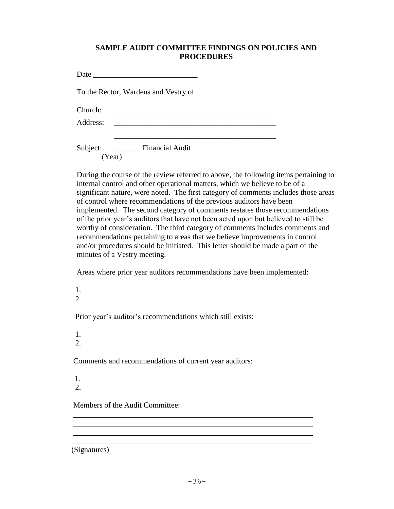#### **SAMPLE AUDIT COMMITTEE FINDINGS ON POLICIES AND PROCEDURES**

Date \_\_\_\_\_\_\_\_\_\_\_\_\_\_\_\_\_\_\_\_\_\_\_\_\_\_\_

To the Rector, Wardens and Vestry of

Church:

Address: \_\_\_\_\_\_\_\_\_\_\_\_\_\_\_\_\_\_\_\_\_\_\_\_\_\_\_\_\_\_\_\_\_\_\_\_\_\_\_\_\_\_

Subject: \_\_\_\_\_\_\_\_ Financial Audit (Year)

During the course of the review referred to above, the following items pertaining to internal control and other operational matters, which we believe to be of a significant nature, were noted. The first category of comments includes those areas of control where recommendations of the previous auditors have been implemented. The second category of comments restates those recommendations of the prior year's auditors that have not been acted upon but believed to still be worthy of consideration. The third category of comments includes comments and recommendations pertaining to areas that we believe improvements in control and/or procedures should be initiated. This letter should be made a part of the minutes of a Vestry meeting.

Areas where prior year auditors recommendations have been implemented:

 $\overline{\phantom{a}}$  , and the set of the set of the set of the set of the set of the set of the set of the set of the set of the set of the set of the set of the set of the set of the set of the set of the set of the set of the s

- 1.
- 2.

Prior year's auditor's recommendations which still exists:

1.

 $2<sub>1</sub>$ 

Comments and recommendations of current year auditors:

1. 2.

Members of the Audit Committee:

(Signatures)

\_\_\_\_\_\_\_\_\_\_\_\_\_\_\_\_\_\_\_\_\_\_\_\_\_\_\_\_\_\_\_\_\_\_\_\_\_\_\_\_\_\_\_\_\_\_\_\_\_\_\_\_\_\_\_\_\_\_\_\_\_\_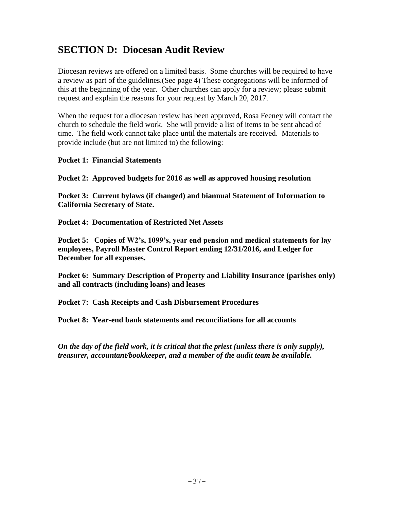## **SECTION D: Diocesan Audit Review**

Diocesan reviews are offered on a limited basis. Some churches will be required to have a review as part of the guidelines.(See page 4) These congregations will be informed of this at the beginning of the year. Other churches can apply for a review; please submit request and explain the reasons for your request by March 20, 2017.

When the request for a diocesan review has been approved, Rosa Feeney will contact the church to schedule the field work. She will provide a list of items to be sent ahead of time. The field work cannot take place until the materials are received. Materials to provide include (but are not limited to) the following:

#### **Pocket 1: Financial Statements**

**Pocket 2: Approved budgets for 2016 as well as approved housing resolution**

**Pocket 3: Current bylaws (if changed) and biannual Statement of Information to California Secretary of State.** 

**Pocket 4: Documentation of Restricted Net Assets**

**Pocket 5: Copies of W2's, 1099's, year end pension and medical statements for lay employees, Payroll Master Control Report ending 12/31/2016, and Ledger for December for all expenses.**

**Pocket 6: Summary Description of Property and Liability Insurance (parishes only) and all contracts (including loans) and leases**

**Pocket 7: Cash Receipts and Cash Disbursement Procedures**

**Pocket 8: Year-end bank statements and reconciliations for all accounts**

*On the day of the field work, it is critical that the priest (unless there is only supply), treasurer, accountant/bookkeeper, and a member of the audit team be available.*